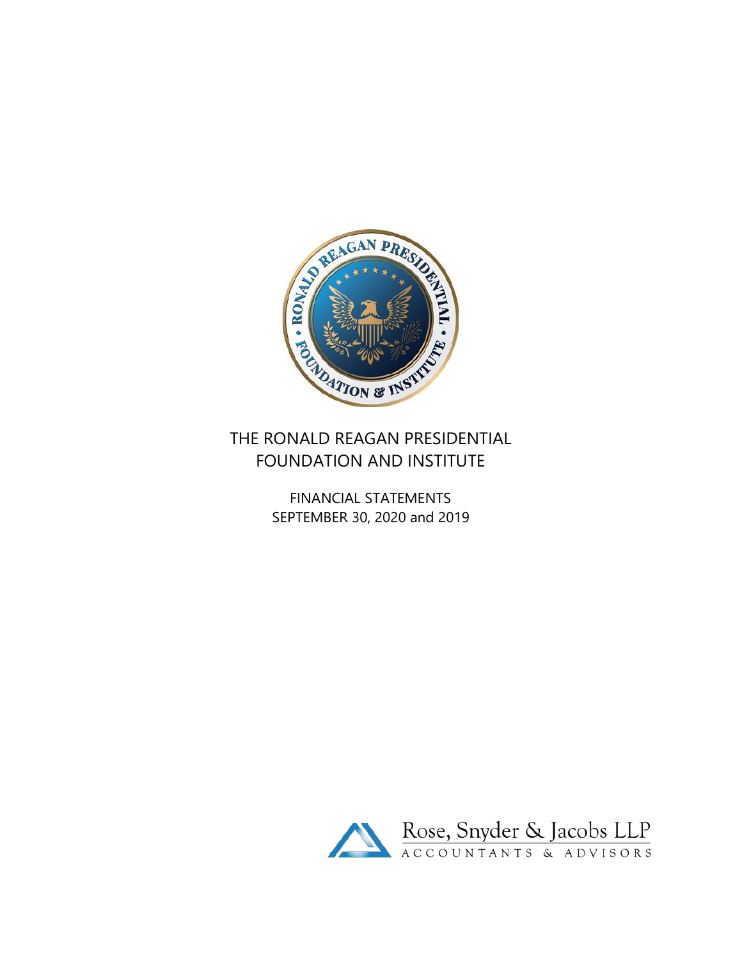

# THE RONALD REAGAN PRESIDENTIAL FOUNDATION AND INSTITUTE

FINANCIAL STATEMENTS SEPTEMBER 30, 2020 and 2019

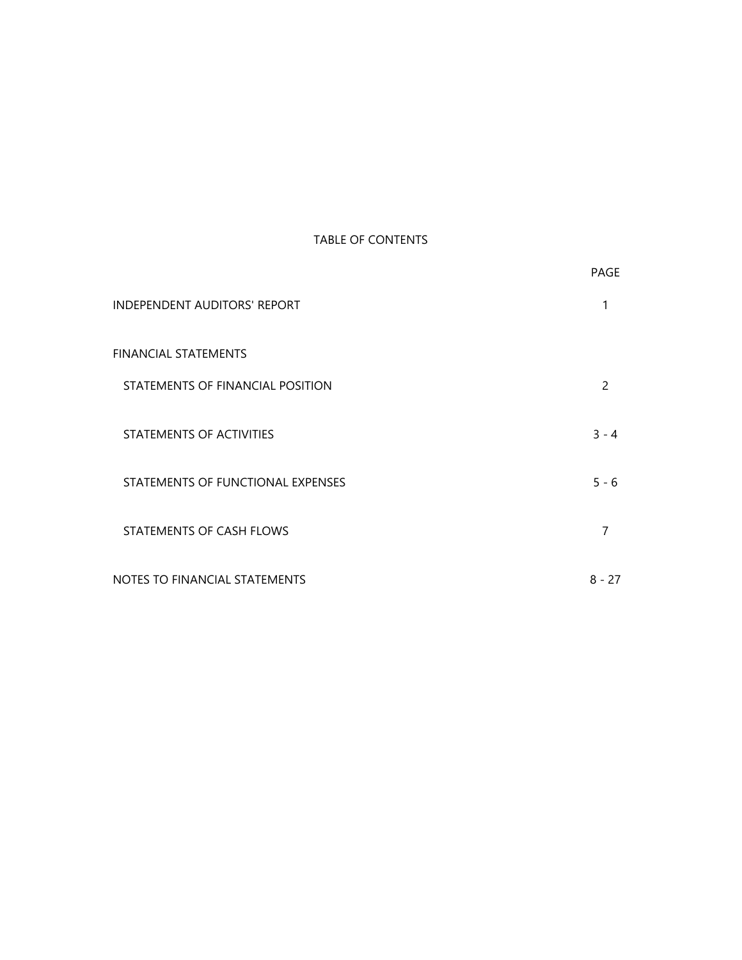## TABLE OF CONTENTS

|                                     | PAGE     |
|-------------------------------------|----------|
| <b>INDEPENDENT AUDITORS' REPORT</b> | 1        |
| <b>FINANCIAL STATEMENTS</b>         |          |
| STATEMENTS OF FINANCIAL POSITION    | 2        |
| STATEMENTS OF ACTIVITIES            | $3 - 4$  |
| STATEMENTS OF FUNCTIONAL EXPENSES   | $5 - 6$  |
| STATEMENTS OF CASH FLOWS            | 7        |
| NOTES TO FINANCIAL STATEMENTS       | $8 - 27$ |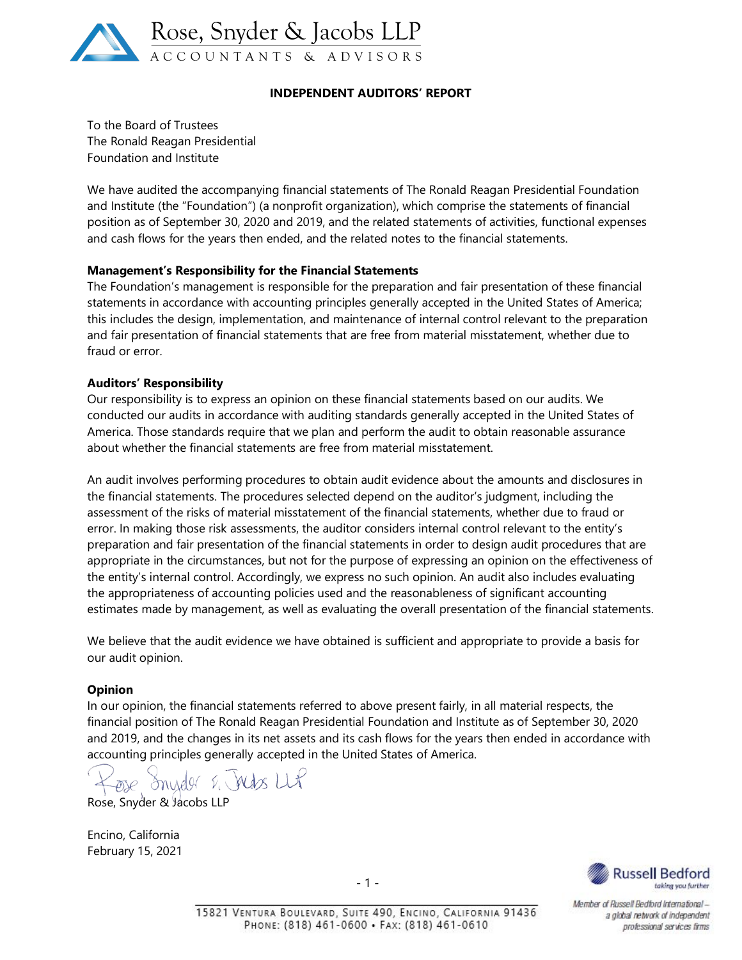

## **INDEPENDENT AUDITORS' REPORT**

To the Board of Trustees The Ronald Reagan Presidential Foundation and Institute

We have audited the accompanying financial statements of The Ronald Reagan Presidential Foundation and Institute (the "Foundation") (a nonprofit organization), which comprise the statements of financial position as of September 30, 2020 and 2019, and the related statements of activities, functional expenses and cash flows for the years then ended, and the related notes to the financial statements.

#### **Management's Responsibility for the Financial Statements**

The Foundation's management is responsible for the preparation and fair presentation of these financial statements in accordance with accounting principles generally accepted in the United States of America; this includes the design, implementation, and maintenance of internal control relevant to the preparation and fair presentation of financial statements that are free from material misstatement, whether due to fraud or error.

#### **Auditors' Responsibility**

Our responsibility is to express an opinion on these financial statements based on our audits. We conducted our audits in accordance with auditing standards generally accepted in the United States of America. Those standards require that we plan and perform the audit to obtain reasonable assurance about whether the financial statements are free from material misstatement.

An audit involves performing procedures to obtain audit evidence about the amounts and disclosures in the financial statements. The procedures selected depend on the auditor's judgment, including the assessment of the risks of material misstatement of the financial statements, whether due to fraud or error. In making those risk assessments, the auditor considers internal control relevant to the entity's preparation and fair presentation of the financial statements in order to design audit procedures that are appropriate in the circumstances, but not for the purpose of expressing an opinion on the effectiveness of the entity's internal control. Accordingly, we express no such opinion. An audit also includes evaluating the appropriateness of accounting policies used and the reasonableness of significant accounting estimates made by management, as well as evaluating the overall presentation of the financial statements.

We believe that the audit evidence we have obtained is sufficient and appropriate to provide a basis for our audit opinion.

#### **Opinion**

In our opinion, the financial statements referred to above present fairly, in all material respects, the financial position of The Ronald Reagan Presidential Foundation and Institute as of September 30, 2020 and 2019, and the changes in its net assets and its cash flows for the years then ended in accordance with accounting principles generally accepted in the United States of America.

ose Snyder & Index LLP

Rose, Snyder & Jacobs LLP

Encino, California February 15, 2021



Member of Russell Bedford Internationala global network of independent professional services firms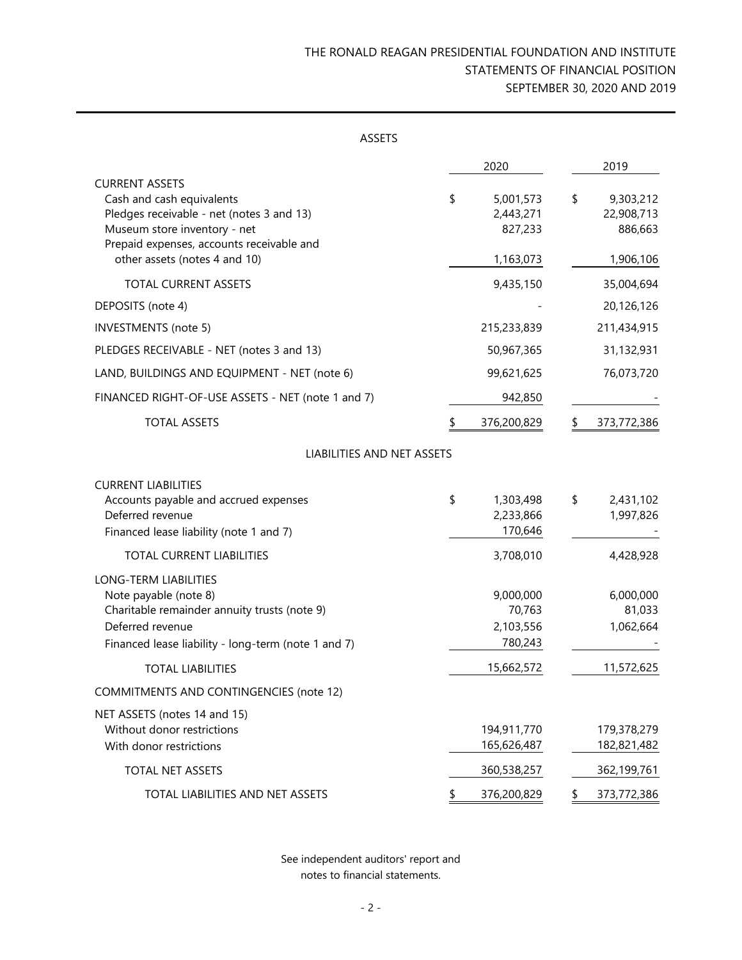# THE RONALD REAGAN PRESIDENTIAL FOUNDATION AND INSTITUTE STATEMENTS OF FINANCIAL POSITION SEPTEMBER 30, 2020 AND 2019

| <b>ASSETS</b>                                                                                                                                                                |                                             |    |                                    |
|------------------------------------------------------------------------------------------------------------------------------------------------------------------------------|---------------------------------------------|----|------------------------------------|
|                                                                                                                                                                              | 2020                                        |    | 2019                               |
| <b>CURRENT ASSETS</b><br>Cash and cash equivalents<br>Pledges receivable - net (notes 3 and 13)<br>Museum store inventory - net<br>Prepaid expenses, accounts receivable and | \$<br>5,001,573<br>2,443,271<br>827,233     | \$ | 9,303,212<br>22,908,713<br>886,663 |
| other assets (notes 4 and 10)                                                                                                                                                | 1,163,073                                   |    | 1,906,106                          |
| <b>TOTAL CURRENT ASSETS</b>                                                                                                                                                  | 9,435,150                                   |    | 35,004,694                         |
| DEPOSITS (note 4)                                                                                                                                                            |                                             |    | 20,126,126                         |
| <b>INVESTMENTS</b> (note 5)                                                                                                                                                  | 215,233,839                                 |    | 211,434,915                        |
| PLEDGES RECEIVABLE - NET (notes 3 and 13)                                                                                                                                    | 50,967,365                                  |    | 31,132,931                         |
| LAND, BUILDINGS AND EQUIPMENT - NET (note 6)                                                                                                                                 | 99,621,625                                  |    | 76,073,720                         |
| FINANCED RIGHT-OF-USE ASSETS - NET (note 1 and 7)                                                                                                                            | 942,850                                     |    |                                    |
| <b>TOTAL ASSETS</b>                                                                                                                                                          | 376,200,829                                 |    | 373,772,386                        |
| LIABILITIES AND NET ASSETS                                                                                                                                                   |                                             |    |                                    |
| <b>CURRENT LIABILITIES</b><br>Accounts payable and accrued expenses<br>Deferred revenue<br>Financed lease liability (note 1 and 7)                                           | \$<br>1,303,498<br>2,233,866<br>170,646     | \$ | 2,431,102<br>1,997,826             |
| TOTAL CURRENT LIABILITIES                                                                                                                                                    | 3,708,010                                   |    | 4,428,928                          |
| LONG-TERM LIABILITIES<br>Note payable (note 8)<br>Charitable remainder annuity trusts (note 9)<br>Deferred revenue<br>Financed lease liability - long-term (note 1 and 7)    | 9,000,000<br>70,763<br>2,103,556<br>780,243 |    | 6,000,000<br>81,033<br>1,062,664   |
| <b>TOTAL LIABILITIES</b>                                                                                                                                                     | 15,662,572                                  |    | 11,572,625                         |
| <b>COMMITMENTS AND CONTINGENCIES (note 12)</b>                                                                                                                               |                                             |    |                                    |
| NET ASSETS (notes 14 and 15)<br>Without donor restrictions<br>With donor restrictions                                                                                        | 194,911,770<br>165,626,487                  |    | 179,378,279<br>182,821,482         |
| <b>TOTAL NET ASSETS</b>                                                                                                                                                      | 360,538,257                                 |    | 362,199,761                        |
| TOTAL LIABILITIES AND NET ASSETS                                                                                                                                             | \$<br>376,200,829                           | S  | 373,772,386                        |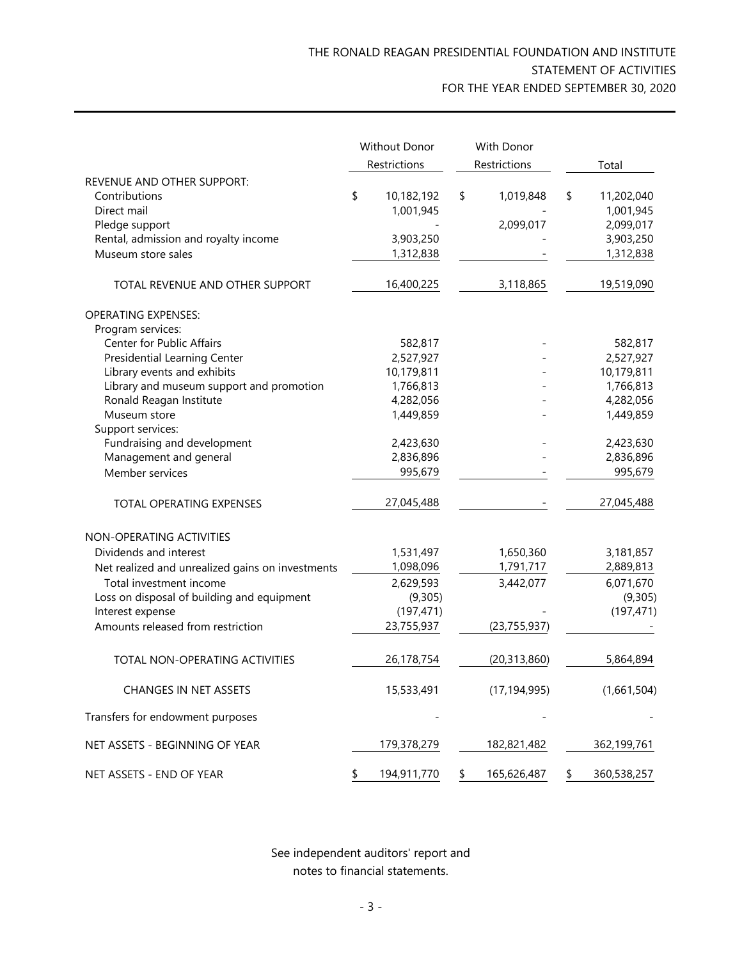|                                                                |    | Without Donor         | With Donor        |                      |
|----------------------------------------------------------------|----|-----------------------|-------------------|----------------------|
|                                                                |    | Restrictions          | Restrictions      | Total                |
| REVENUE AND OTHER SUPPORT:                                     |    |                       |                   |                      |
| Contributions                                                  | \$ | 10,182,192            | \$<br>1,019,848   | \$<br>11,202,040     |
| Direct mail                                                    |    | 1,001,945             |                   | 1,001,945            |
| Pledge support                                                 |    |                       | 2,099,017         | 2,099,017            |
| Rental, admission and royalty income                           |    | 3,903,250             |                   | 3,903,250            |
| Museum store sales                                             |    | 1,312,838             |                   | 1,312,838            |
|                                                                |    |                       |                   |                      |
| TOTAL REVENUE AND OTHER SUPPORT                                |    | 16,400,225            | 3,118,865         | 19,519,090           |
| <b>OPERATING EXPENSES:</b>                                     |    |                       |                   |                      |
| Program services:                                              |    |                       |                   |                      |
| Center for Public Affairs                                      |    | 582,817               |                   | 582,817              |
| <b>Presidential Learning Center</b>                            |    | 2,527,927             |                   | 2,527,927            |
| Library events and exhibits                                    |    | 10,179,811            |                   | 10,179,811           |
| Library and museum support and promotion                       |    | 1,766,813             |                   | 1,766,813            |
| Ronald Reagan Institute                                        |    | 4,282,056             |                   | 4,282,056            |
| Museum store                                                   |    | 1,449,859             |                   | 1,449,859            |
| Support services:                                              |    |                       |                   |                      |
| Fundraising and development                                    |    | 2,423,630             |                   | 2,423,630            |
| Management and general                                         |    | 2,836,896             |                   | 2,836,896            |
| Member services                                                |    | 995,679               |                   | 995,679              |
| TOTAL OPERATING EXPENSES                                       |    | 27,045,488            |                   | 27,045,488           |
| NON-OPERATING ACTIVITIES                                       |    |                       |                   |                      |
| Dividends and interest                                         |    | 1,531,497             | 1,650,360         | 3,181,857            |
| Net realized and unrealized gains on investments               |    | 1,098,096             | 1,791,717         | 2,889,813            |
| Total investment income                                        |    |                       | 3,442,077         |                      |
|                                                                |    | 2,629,593             |                   | 6,071,670<br>(9,305) |
| Loss on disposal of building and equipment<br>Interest expense |    | (9,305)<br>(197, 471) |                   |                      |
|                                                                |    | 23,755,937            | (23, 755, 937)    | (197, 471)           |
| Amounts released from restriction                              |    |                       |                   |                      |
| TOTAL NON-OPERATING ACTIVITIES                                 |    | 26,178,754            | (20, 313, 860)    | 5,864,894            |
| <b>CHANGES IN NET ASSETS</b>                                   |    | 15,533,491            | (17, 194, 995)    | (1,661,504)          |
| Transfers for endowment purposes                               |    |                       |                   |                      |
| NET ASSETS - BEGINNING OF YEAR                                 |    | 179,378,279           | 182,821,482       | 362,199,761          |
| NET ASSETS - END OF YEAR                                       | S  | 194,911,770           | \$<br>165,626,487 | \$<br>360,538,257    |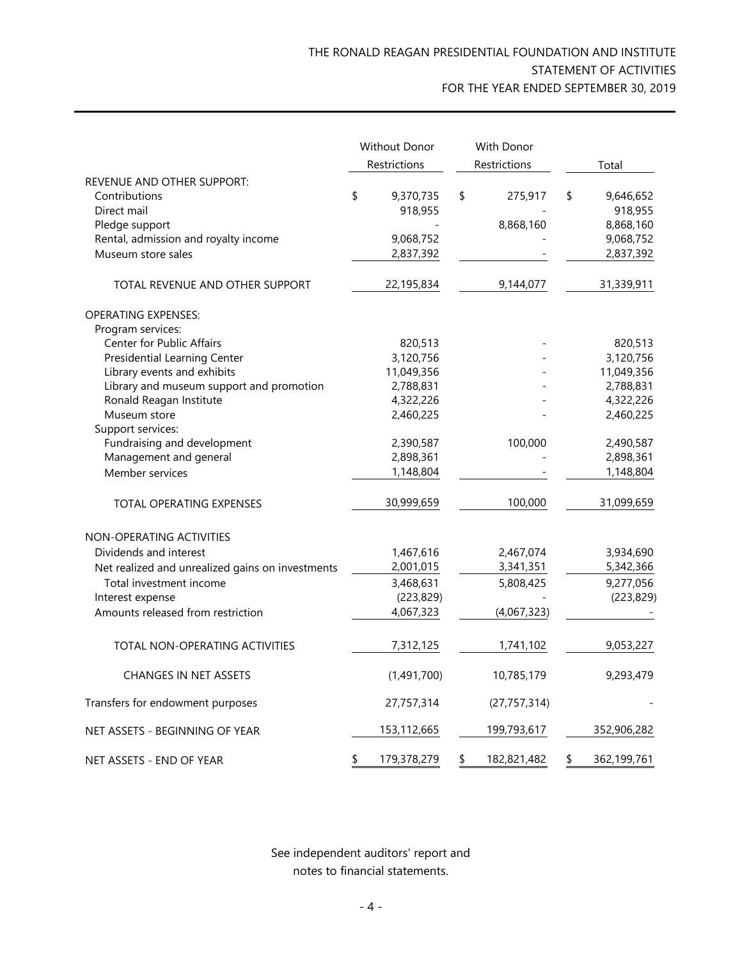|                                                            | Without Donor              | With Donor        |                            |
|------------------------------------------------------------|----------------------------|-------------------|----------------------------|
|                                                            | Restrictions               | Restrictions      | Total                      |
| REVENUE AND OTHER SUPPORT:<br>Contributions<br>Direct mail | \$<br>9,370,735<br>918,955 | \$<br>275,917     | \$<br>9,646,652<br>918,955 |
| Pledge support                                             |                            | 8,868,160         | 8,868,160                  |
| Rental, admission and royalty income                       | 9,068,752                  |                   | 9,068,752                  |
| Museum store sales                                         | 2,837,392                  |                   | 2,837,392                  |
| TOTAL REVENUE AND OTHER SUPPORT                            | 22,195,834                 | 9,144,077         | 31,339,911                 |
| <b>OPERATING EXPENSES:</b>                                 |                            |                   |                            |
| Program services:                                          |                            |                   |                            |
| Center for Public Affairs                                  | 820,513                    |                   | 820,513                    |
| <b>Presidential Learning Center</b>                        | 3,120,756                  |                   | 3,120,756                  |
| Library events and exhibits                                | 11,049,356                 |                   | 11,049,356                 |
| Library and museum support and promotion                   | 2,788,831                  |                   | 2,788,831                  |
| Ronald Reagan Institute                                    | 4,322,226                  |                   | 4,322,226                  |
| Museum store                                               | 2,460,225                  |                   | 2,460,225                  |
| Support services:                                          |                            |                   |                            |
| Fundraising and development                                | 2,390,587                  | 100,000           | 2,490,587                  |
| Management and general                                     | 2,898,361                  |                   | 2,898,361                  |
| Member services                                            | 1,148,804                  |                   | 1,148,804                  |
| TOTAL OPERATING EXPENSES                                   | 30,999,659                 | 100,000           | 31,099,659                 |
| NON-OPERATING ACTIVITIES                                   |                            |                   |                            |
| Dividends and interest                                     | 1,467,616                  | 2,467,074         | 3,934,690                  |
| Net realized and unrealized gains on investments           | 2,001,015                  | 3,341,351         | 5,342,366                  |
| Total investment income                                    | 3,468,631                  | 5,808,425         | 9,277,056                  |
| Interest expense                                           | (223, 829)                 |                   | (223, 829)                 |
| Amounts released from restriction                          | 4,067,323                  | (4,067,323)       |                            |
| TOTAL NON-OPERATING ACTIVITIES                             | 7,312,125                  | 1,741,102         | 9,053,227                  |
| <b>CHANGES IN NET ASSETS</b>                               | (1,491,700)                | 10,785,179        | 9,293,479                  |
| Transfers for endowment purposes                           | 27,757,314                 | (27, 757, 314)    |                            |
| NET ASSETS - BEGINNING OF YEAR                             | 153,112,665                | 199,793,617       | 352,906,282                |
| NET ASSETS - END OF YEAR                                   | \$<br>179,378,279          | \$<br>182,821,482 | \$<br>362,199,761          |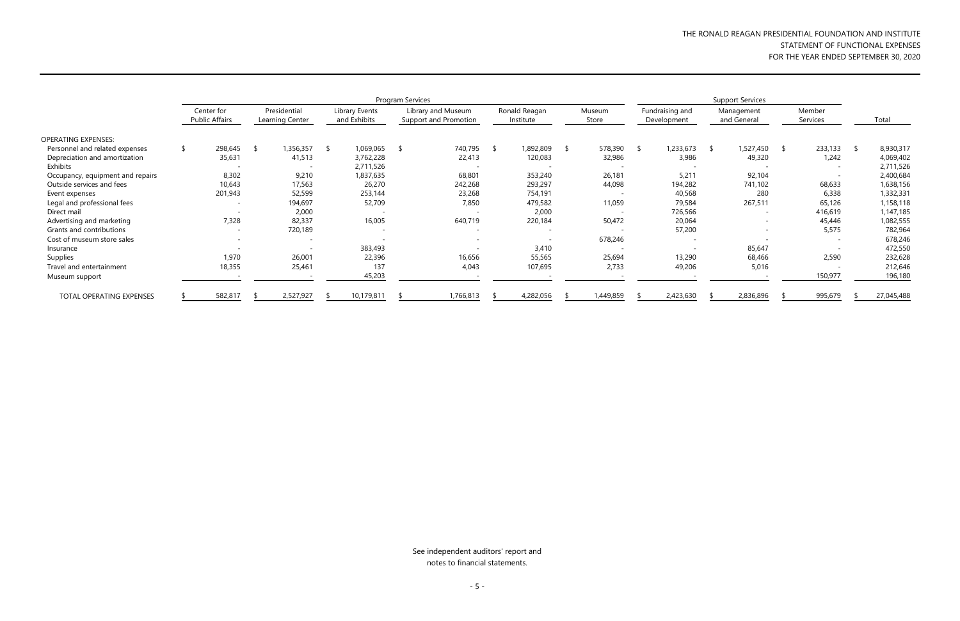# THE RONALD REAGAN PRESIDENTIAL FOUNDATION AND INSTITUTE STATEMENT OF FUNCTIONAL EXPENSES FOR THE YEAR ENDED SEPTEMBER 30, 2020

|                                  | Program Services |                                     |                                 |  |                                |      |                                             |      |                            |  |                 | <b>Support Services</b> |                                |     |                           |   |                          |     |            |
|----------------------------------|------------------|-------------------------------------|---------------------------------|--|--------------------------------|------|---------------------------------------------|------|----------------------------|--|-----------------|-------------------------|--------------------------------|-----|---------------------------|---|--------------------------|-----|------------|
|                                  |                  | Center for<br><b>Public Affairs</b> | Presidential<br>Learning Center |  | Library Events<br>and Exhibits |      | Library and Museum<br>Support and Promotion |      | Ronald Reagan<br>Institute |  | Museum<br>Store |                         | Fundraising and<br>Development |     | Management<br>and General |   | Member<br>Services       |     | Total      |
| <b>OPERATING EXPENSES:</b>       |                  |                                     |                                 |  |                                |      |                                             |      |                            |  |                 |                         |                                |     |                           |   |                          |     |            |
| Personnel and related expenses   |                  | 298,645                             | 1,356,357<br>- 75               |  | 1,069,065<br>୍ତ                | - \$ | 740,795                                     | - 50 | 1,892,809                  |  | 578,390         | -S                      | 1,233,673                      | - S | 1,527,450                 | S | 233,133                  | -SI | 8,930,317  |
| Depreciation and amortization    |                  | 35,631                              | 41,513                          |  | 3,762,228                      |      | 22,413                                      |      | 120,083                    |  | 32,986          |                         | 3,986                          |     | 49,320                    |   | 1,242                    |     | 4,069,402  |
| Exhibits                         |                  |                                     |                                 |  | 2,711,526                      |      |                                             |      |                            |  |                 |                         |                                |     |                           |   | $\overline{\phantom{a}}$ |     | 2,711,526  |
| Occupancy, equipment and repairs |                  | 8,302                               | 9,210                           |  | 1,837,635                      |      | 68,801                                      |      | 353,240                    |  | 26,181          |                         | 5,211                          |     | 92,104                    |   | $\overline{\phantom{a}}$ |     | 2,400,684  |
| Outside services and fees        |                  | 10,643                              | 17,563                          |  | 26,270                         |      | 242,268                                     |      | 293,297                    |  | 44,098          |                         | 194,282                        |     | 741,102                   |   | 68,633                   |     | 1,638,156  |
| Event expenses                   |                  | 201,943                             | 52,599                          |  | 253,144                        |      | 23,268                                      |      | 754,191                    |  |                 |                         | 40,568                         |     | 280                       |   | 6,338                    |     | 1,332,331  |
| Legal and professional fees      |                  |                                     | 194,697                         |  | 52,709                         |      | 7,850                                       |      | 479,582                    |  | 11,059          |                         | 79,584                         |     | 267,511                   |   | 65,126                   |     | 1,158,118  |
| Direct mail                      |                  |                                     | 2,000                           |  |                                |      |                                             |      | 2,000                      |  |                 |                         | 726,566                        |     | $\overline{\phantom{0}}$  |   | 416,619                  |     | 1,147,185  |
| Advertising and marketing        |                  | 7,328                               | 82,337                          |  | 16,005                         |      | 640,719                                     |      | 220,184                    |  | 50,472          |                         | 20,064                         |     | $\overline{\phantom{0}}$  |   | 45,446                   |     | 1,082,555  |
| Grants and contributions         |                  | $\overline{\phantom{a}}$            | 720,189                         |  |                                |      | $\overline{\phantom{a}}$                    |      | $\overline{\phantom{0}}$   |  |                 |                         | 57,200                         |     | $\overline{\phantom{a}}$  |   | 5,575                    |     | 782,964    |
| Cost of museum store sales       |                  | $\overline{\phantom{a}}$            |                                 |  |                                |      | $\overline{\phantom{a}}$                    |      |                            |  | 678,246         |                         |                                |     |                           |   | $\overline{\phantom{a}}$ |     | 678,246    |
| Insurance                        |                  |                                     |                                 |  | 383,493                        |      |                                             |      | 3,410                      |  |                 |                         |                                |     | 85,647                    |   |                          |     | 472,550    |
| Supplies                         |                  | 1,970                               | 26,001                          |  | 22,396                         |      | 16,656                                      |      | 55,565                     |  | 25,694          |                         | 13,290                         |     | 68,466                    |   | 2,590                    |     | 232,628    |
| Travel and entertainment         |                  | 18,355                              | 25,461                          |  | 137                            |      | 4,043                                       |      | 107,695                    |  | 2,733           |                         | 49,206                         |     | 5,016                     |   | $\overline{\phantom{a}}$ |     | 212,646    |
| Museum support                   |                  |                                     |                                 |  | 45,203                         |      |                                             |      |                            |  |                 |                         |                                |     |                           |   | 150,977                  |     | 196,180    |
| TOTAL OPERATING EXPENSES         |                  | 582,817                             | 2,527,927                       |  | 10,179,811                     |      | 1,766,813                                   |      | 4,282,056                  |  | 1,449,859       |                         | 2,423,630                      |     | 2,836,896                 |   | 995,679                  |     | 27,045,488 |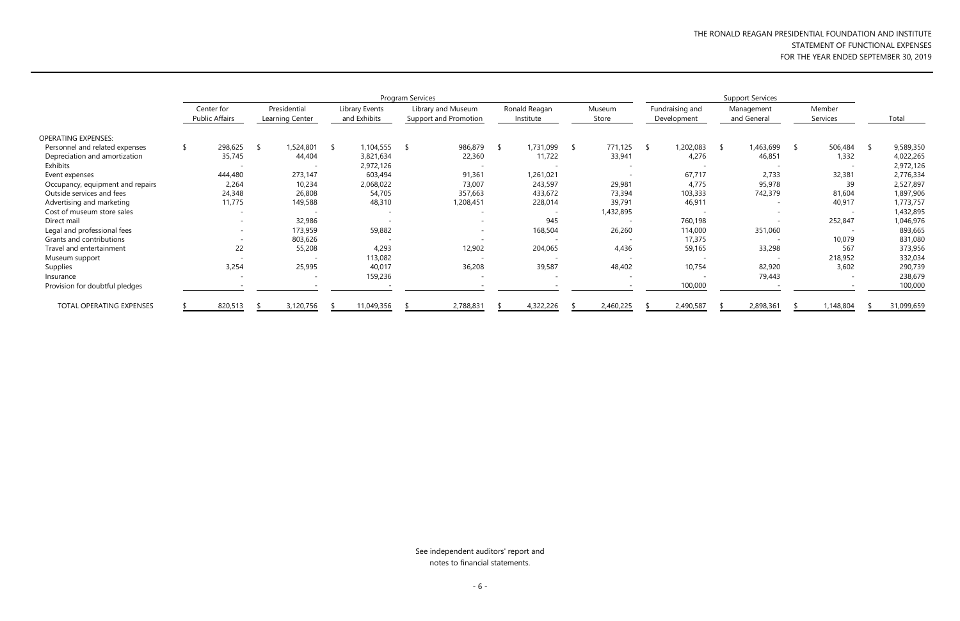# THE RONALD REAGAN PRESIDENTIAL FOUNDATION AND INSTITUTE STATEMENT OF FUNCTIONAL EXPENSES FOR THE YEAR ENDED SEPTEMBER 30, 2019

|                                  | Program Services                    |  |                                 |  |                                |  |                                             |      |                            |  |                 | <b>Support Services</b> |                                |     |                           |     |                          |            |
|----------------------------------|-------------------------------------|--|---------------------------------|--|--------------------------------|--|---------------------------------------------|------|----------------------------|--|-----------------|-------------------------|--------------------------------|-----|---------------------------|-----|--------------------------|------------|
|                                  | Center for<br><b>Public Affairs</b> |  | Presidential<br>Learning Center |  | Library Events<br>and Exhibits |  | Library and Museum<br>Support and Promotion |      | Ronald Reagan<br>Institute |  | Museum<br>Store |                         | Fundraising and<br>Development |     | Management<br>and General |     | Member<br>Services       | Total      |
| <b>OPERATING EXPENSES:</b>       |                                     |  |                                 |  |                                |  |                                             |      |                            |  |                 |                         |                                |     |                           |     |                          |            |
| Personnel and related expenses   | 298,625                             |  | 1,524,801                       |  | 1,104,555                      |  | 986,879                                     | - 55 | 1,731,099                  |  | 771,125         | <sup>S</sup>            | 1,202,083                      | - S | 1,463,699                 | - S | 506,484                  | 9,589,350  |
| Depreciation and amortization    | 35,745                              |  | 44,404                          |  | 3,821,634                      |  | 22,360                                      |      | 11,722                     |  | 33,941          |                         | 4,276                          |     | 46,851                    |     | 1,332                    | 4,022,265  |
| Exhibits                         |                                     |  |                                 |  | 2,972,126                      |  |                                             |      | $\overline{\phantom{0}}$   |  |                 |                         |                                |     |                           |     | $\overline{\phantom{0}}$ | 2,972,126  |
| Event expenses                   | 444,480                             |  | 273,147                         |  | 603,494                        |  | 91,361                                      |      | 1,261,021                  |  |                 |                         | 67,717                         |     | 2,733                     |     | 32,381                   | 2,776,334  |
| Occupancy, equipment and repairs | 2,264                               |  | 10,234                          |  | 2,068,022                      |  | 73,007                                      |      | 243,597                    |  | 29,981          |                         | 4,775                          |     | 95,978                    |     | 39                       | 2,527,897  |
| Outside services and fees        | 24,348                              |  | 26,808                          |  | 54,705                         |  | 357,663                                     |      | 433,672                    |  | 73,394          |                         | 103,333                        |     | 742,379                   |     | 81,604                   | 1,897,906  |
| Advertising and marketing        | 11,775                              |  | 149,588                         |  | 48,310                         |  | 1,208,451                                   |      | 228,014                    |  | 39,791          |                         | 46,911                         |     | $\overline{\phantom{0}}$  |     | 40,917                   | 1,773,757  |
| Cost of museum store sales       |                                     |  |                                 |  |                                |  |                                             |      |                            |  | 1,432,895       |                         |                                |     |                           |     | $\overline{\phantom{0}}$ | 1,432,895  |
| Direct mail                      | $\overline{\phantom{a}}$            |  | 32,986                          |  |                                |  | $\overline{\phantom{a}}$                    |      | 945                        |  |                 |                         | 760,198                        |     |                           |     | 252,847                  | 1,046,976  |
| Legal and professional fees      | $-$                                 |  | 173,959                         |  | 59,882                         |  | $\overline{\phantom{a}}$                    |      | 168,504                    |  | 26,260          |                         | 114,000                        |     | 351,060                   |     | $\overline{\phantom{0}}$ | 893,665    |
| Grants and contributions         | $\overline{\phantom{a}}$            |  | 803,626                         |  |                                |  |                                             |      | $\overline{\phantom{0}}$   |  |                 |                         | 17,375                         |     |                           |     | 10,079                   | 831,080    |
| Travel and entertainment         | 22                                  |  | 55,208                          |  | 4,293                          |  | 12,902                                      |      | 204,065                    |  | 4,436           |                         | 59,165                         |     | 33,298                    |     | 567                      | 373,956    |
| Museum support                   |                                     |  |                                 |  | 113,082                        |  |                                             |      |                            |  |                 |                         |                                |     |                           |     | 218,952                  | 332,034    |
| Supplies                         | 3,254                               |  | 25,995                          |  | 40,017                         |  | 36,208                                      |      | 39,587                     |  | 48,402          |                         | 10,754                         |     | 82,920                    |     | 3,602                    | 290,739    |
| Insurance                        |                                     |  | $\overline{\phantom{a}}$        |  | 159,236                        |  | $\overline{\phantom{a}}$                    |      | $\overline{\phantom{0}}$   |  |                 |                         |                                |     | 79,443                    |     |                          | 238,679    |
| Provision for doubtful pledges   |                                     |  |                                 |  |                                |  |                                             |      |                            |  |                 |                         | 100,000                        |     |                           |     |                          | 100,000    |
| TOTAL OPERATING EXPENSES         | 820,513                             |  | 3,120,756                       |  | 11,049,356                     |  | 2,788,831                                   |      | 4,322,226                  |  | 2,460,225       |                         | 2,490,587                      |     | 2,898,361                 |     | ,148,804                 | 31,099,659 |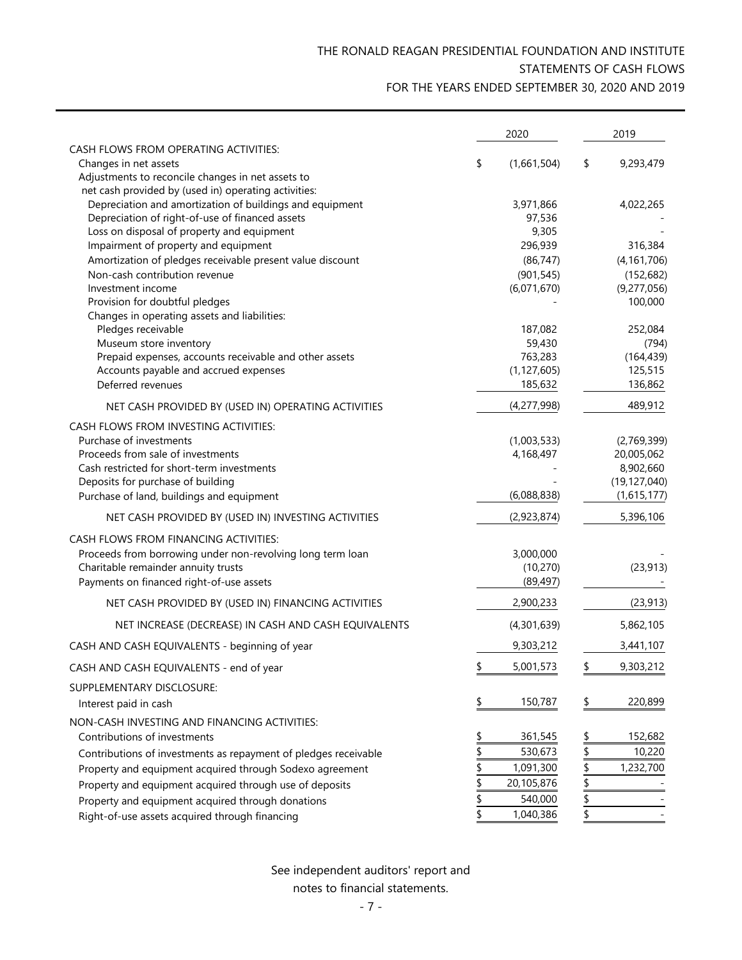# THE RONALD REAGAN PRESIDENTIAL FOUNDATION AND INSTITUTE STATEMENTS OF CASH FLOWS FOR THE YEARS ENDED SEPTEMBER 30, 2020 AND 2019

| CASH FLOWS FROM OPERATING ACTIVITIES:<br>Changes in net assets<br>\$<br>(1,661,504)<br>\$<br>9,293,479<br>Adjustments to reconcile changes in net assets to<br>net cash provided by (used in) operating activities:<br>Depreciation and amortization of buildings and equipment<br>3,971,866<br>4,022,265<br>Depreciation of right-of-use of financed assets<br>97,536<br>Loss on disposal of property and equipment<br>9,305<br>Impairment of property and equipment<br>296,939<br>316,384<br>Amortization of pledges receivable present value discount<br>(86, 747)<br>(4, 161, 706)<br>Non-cash contribution revenue<br>(901, 545)<br>(152, 682)<br>Investment income<br>(6,071,670)<br>(9,277,056)<br>100,000<br>Provision for doubtful pledges<br>Changes in operating assets and liabilities:<br>Pledges receivable<br>187,082<br>252,084<br>Museum store inventory<br>59,430<br>(794)<br>Prepaid expenses, accounts receivable and other assets<br>763,283<br>(164, 439)<br>Accounts payable and accrued expenses<br>(1, 127, 605)<br>125,515<br>136,862<br>Deferred revenues<br>185,632<br>(4,277,998)<br>489,912<br>NET CASH PROVIDED BY (USED IN) OPERATING ACTIVITIES<br>CASH FLOWS FROM INVESTING ACTIVITIES:<br>Purchase of investments<br>(1,003,533)<br>(2,769,399)<br>Proceeds from sale of investments<br>4,168,497<br>20,005,062<br>Cash restricted for short-term investments<br>8,902,660<br>Deposits for purchase of building<br>(19, 127, 040)<br>(6,088,838)<br>(1,615,177)<br>Purchase of land, buildings and equipment<br>5,396,106<br>(2,923,874)<br>NET CASH PROVIDED BY (USED IN) INVESTING ACTIVITIES<br>CASH FLOWS FROM FINANCING ACTIVITIES:<br>Proceeds from borrowing under non-revolving long term loan<br>3,000,000<br>Charitable remainder annuity trusts<br>(10, 270)<br>(23, 913)<br>(89, 497)<br>Payments on financed right-of-use assets<br>2,900,233<br>(23, 913)<br>NET CASH PROVIDED BY (USED IN) FINANCING ACTIVITIES<br>NET INCREASE (DECREASE) IN CASH AND CASH EQUIVALENTS<br>(4,301,639)<br>5,862,105<br>9,303,212<br>CASH AND CASH EQUIVALENTS - beginning of year<br>3,441,107<br>\$<br>5,001,573<br>9,303,212<br>CASH AND CASH EQUIVALENTS - end of year<br>SUPPLEMENTARY DISCLOSURE:<br>150,787<br>220,899<br>\$<br>Interest paid in cash<br>NON-CASH INVESTING AND FINANCING ACTIVITIES:<br>361,545<br>152,682<br>Contributions of investments<br>$\frac{1}{2}$<br>530,673<br>10,220<br>Contributions of investments as repayment of pledges receivable<br>\$<br>1,091,300<br>1,232,700<br>Property and equipment acquired through Sodexo agreement<br>\$<br>\$<br>20,105,876<br>Property and equipment acquired through use of deposits<br>\$<br>540,000<br>Property and equipment acquired through donations<br>\$<br>\$<br>1,040,386<br>Right-of-use assets acquired through financing |  | 2020 | 2019 |
|------------------------------------------------------------------------------------------------------------------------------------------------------------------------------------------------------------------------------------------------------------------------------------------------------------------------------------------------------------------------------------------------------------------------------------------------------------------------------------------------------------------------------------------------------------------------------------------------------------------------------------------------------------------------------------------------------------------------------------------------------------------------------------------------------------------------------------------------------------------------------------------------------------------------------------------------------------------------------------------------------------------------------------------------------------------------------------------------------------------------------------------------------------------------------------------------------------------------------------------------------------------------------------------------------------------------------------------------------------------------------------------------------------------------------------------------------------------------------------------------------------------------------------------------------------------------------------------------------------------------------------------------------------------------------------------------------------------------------------------------------------------------------------------------------------------------------------------------------------------------------------------------------------------------------------------------------------------------------------------------------------------------------------------------------------------------------------------------------------------------------------------------------------------------------------------------------------------------------------------------------------------------------------------------------------------------------------------------------------------------------------------------------------------------------------------------------------------------------------------------------------------------------------------------------------------------------------------------------------------------------------------------------------------------------------------------------------------------------------------------------------------------------------------------------------------------------------------------|--|------|------|
|                                                                                                                                                                                                                                                                                                                                                                                                                                                                                                                                                                                                                                                                                                                                                                                                                                                                                                                                                                                                                                                                                                                                                                                                                                                                                                                                                                                                                                                                                                                                                                                                                                                                                                                                                                                                                                                                                                                                                                                                                                                                                                                                                                                                                                                                                                                                                                                                                                                                                                                                                                                                                                                                                                                                                                                                                                                |  |      |      |
|                                                                                                                                                                                                                                                                                                                                                                                                                                                                                                                                                                                                                                                                                                                                                                                                                                                                                                                                                                                                                                                                                                                                                                                                                                                                                                                                                                                                                                                                                                                                                                                                                                                                                                                                                                                                                                                                                                                                                                                                                                                                                                                                                                                                                                                                                                                                                                                                                                                                                                                                                                                                                                                                                                                                                                                                                                                |  |      |      |
|                                                                                                                                                                                                                                                                                                                                                                                                                                                                                                                                                                                                                                                                                                                                                                                                                                                                                                                                                                                                                                                                                                                                                                                                                                                                                                                                                                                                                                                                                                                                                                                                                                                                                                                                                                                                                                                                                                                                                                                                                                                                                                                                                                                                                                                                                                                                                                                                                                                                                                                                                                                                                                                                                                                                                                                                                                                |  |      |      |
|                                                                                                                                                                                                                                                                                                                                                                                                                                                                                                                                                                                                                                                                                                                                                                                                                                                                                                                                                                                                                                                                                                                                                                                                                                                                                                                                                                                                                                                                                                                                                                                                                                                                                                                                                                                                                                                                                                                                                                                                                                                                                                                                                                                                                                                                                                                                                                                                                                                                                                                                                                                                                                                                                                                                                                                                                                                |  |      |      |
|                                                                                                                                                                                                                                                                                                                                                                                                                                                                                                                                                                                                                                                                                                                                                                                                                                                                                                                                                                                                                                                                                                                                                                                                                                                                                                                                                                                                                                                                                                                                                                                                                                                                                                                                                                                                                                                                                                                                                                                                                                                                                                                                                                                                                                                                                                                                                                                                                                                                                                                                                                                                                                                                                                                                                                                                                                                |  |      |      |
|                                                                                                                                                                                                                                                                                                                                                                                                                                                                                                                                                                                                                                                                                                                                                                                                                                                                                                                                                                                                                                                                                                                                                                                                                                                                                                                                                                                                                                                                                                                                                                                                                                                                                                                                                                                                                                                                                                                                                                                                                                                                                                                                                                                                                                                                                                                                                                                                                                                                                                                                                                                                                                                                                                                                                                                                                                                |  |      |      |
|                                                                                                                                                                                                                                                                                                                                                                                                                                                                                                                                                                                                                                                                                                                                                                                                                                                                                                                                                                                                                                                                                                                                                                                                                                                                                                                                                                                                                                                                                                                                                                                                                                                                                                                                                                                                                                                                                                                                                                                                                                                                                                                                                                                                                                                                                                                                                                                                                                                                                                                                                                                                                                                                                                                                                                                                                                                |  |      |      |
|                                                                                                                                                                                                                                                                                                                                                                                                                                                                                                                                                                                                                                                                                                                                                                                                                                                                                                                                                                                                                                                                                                                                                                                                                                                                                                                                                                                                                                                                                                                                                                                                                                                                                                                                                                                                                                                                                                                                                                                                                                                                                                                                                                                                                                                                                                                                                                                                                                                                                                                                                                                                                                                                                                                                                                                                                                                |  |      |      |
|                                                                                                                                                                                                                                                                                                                                                                                                                                                                                                                                                                                                                                                                                                                                                                                                                                                                                                                                                                                                                                                                                                                                                                                                                                                                                                                                                                                                                                                                                                                                                                                                                                                                                                                                                                                                                                                                                                                                                                                                                                                                                                                                                                                                                                                                                                                                                                                                                                                                                                                                                                                                                                                                                                                                                                                                                                                |  |      |      |
|                                                                                                                                                                                                                                                                                                                                                                                                                                                                                                                                                                                                                                                                                                                                                                                                                                                                                                                                                                                                                                                                                                                                                                                                                                                                                                                                                                                                                                                                                                                                                                                                                                                                                                                                                                                                                                                                                                                                                                                                                                                                                                                                                                                                                                                                                                                                                                                                                                                                                                                                                                                                                                                                                                                                                                                                                                                |  |      |      |
|                                                                                                                                                                                                                                                                                                                                                                                                                                                                                                                                                                                                                                                                                                                                                                                                                                                                                                                                                                                                                                                                                                                                                                                                                                                                                                                                                                                                                                                                                                                                                                                                                                                                                                                                                                                                                                                                                                                                                                                                                                                                                                                                                                                                                                                                                                                                                                                                                                                                                                                                                                                                                                                                                                                                                                                                                                                |  |      |      |
|                                                                                                                                                                                                                                                                                                                                                                                                                                                                                                                                                                                                                                                                                                                                                                                                                                                                                                                                                                                                                                                                                                                                                                                                                                                                                                                                                                                                                                                                                                                                                                                                                                                                                                                                                                                                                                                                                                                                                                                                                                                                                                                                                                                                                                                                                                                                                                                                                                                                                                                                                                                                                                                                                                                                                                                                                                                |  |      |      |
|                                                                                                                                                                                                                                                                                                                                                                                                                                                                                                                                                                                                                                                                                                                                                                                                                                                                                                                                                                                                                                                                                                                                                                                                                                                                                                                                                                                                                                                                                                                                                                                                                                                                                                                                                                                                                                                                                                                                                                                                                                                                                                                                                                                                                                                                                                                                                                                                                                                                                                                                                                                                                                                                                                                                                                                                                                                |  |      |      |
|                                                                                                                                                                                                                                                                                                                                                                                                                                                                                                                                                                                                                                                                                                                                                                                                                                                                                                                                                                                                                                                                                                                                                                                                                                                                                                                                                                                                                                                                                                                                                                                                                                                                                                                                                                                                                                                                                                                                                                                                                                                                                                                                                                                                                                                                                                                                                                                                                                                                                                                                                                                                                                                                                                                                                                                                                                                |  |      |      |
|                                                                                                                                                                                                                                                                                                                                                                                                                                                                                                                                                                                                                                                                                                                                                                                                                                                                                                                                                                                                                                                                                                                                                                                                                                                                                                                                                                                                                                                                                                                                                                                                                                                                                                                                                                                                                                                                                                                                                                                                                                                                                                                                                                                                                                                                                                                                                                                                                                                                                                                                                                                                                                                                                                                                                                                                                                                |  |      |      |
|                                                                                                                                                                                                                                                                                                                                                                                                                                                                                                                                                                                                                                                                                                                                                                                                                                                                                                                                                                                                                                                                                                                                                                                                                                                                                                                                                                                                                                                                                                                                                                                                                                                                                                                                                                                                                                                                                                                                                                                                                                                                                                                                                                                                                                                                                                                                                                                                                                                                                                                                                                                                                                                                                                                                                                                                                                                |  |      |      |
|                                                                                                                                                                                                                                                                                                                                                                                                                                                                                                                                                                                                                                                                                                                                                                                                                                                                                                                                                                                                                                                                                                                                                                                                                                                                                                                                                                                                                                                                                                                                                                                                                                                                                                                                                                                                                                                                                                                                                                                                                                                                                                                                                                                                                                                                                                                                                                                                                                                                                                                                                                                                                                                                                                                                                                                                                                                |  |      |      |
|                                                                                                                                                                                                                                                                                                                                                                                                                                                                                                                                                                                                                                                                                                                                                                                                                                                                                                                                                                                                                                                                                                                                                                                                                                                                                                                                                                                                                                                                                                                                                                                                                                                                                                                                                                                                                                                                                                                                                                                                                                                                                                                                                                                                                                                                                                                                                                                                                                                                                                                                                                                                                                                                                                                                                                                                                                                |  |      |      |
|                                                                                                                                                                                                                                                                                                                                                                                                                                                                                                                                                                                                                                                                                                                                                                                                                                                                                                                                                                                                                                                                                                                                                                                                                                                                                                                                                                                                                                                                                                                                                                                                                                                                                                                                                                                                                                                                                                                                                                                                                                                                                                                                                                                                                                                                                                                                                                                                                                                                                                                                                                                                                                                                                                                                                                                                                                                |  |      |      |
|                                                                                                                                                                                                                                                                                                                                                                                                                                                                                                                                                                                                                                                                                                                                                                                                                                                                                                                                                                                                                                                                                                                                                                                                                                                                                                                                                                                                                                                                                                                                                                                                                                                                                                                                                                                                                                                                                                                                                                                                                                                                                                                                                                                                                                                                                                                                                                                                                                                                                                                                                                                                                                                                                                                                                                                                                                                |  |      |      |
|                                                                                                                                                                                                                                                                                                                                                                                                                                                                                                                                                                                                                                                                                                                                                                                                                                                                                                                                                                                                                                                                                                                                                                                                                                                                                                                                                                                                                                                                                                                                                                                                                                                                                                                                                                                                                                                                                                                                                                                                                                                                                                                                                                                                                                                                                                                                                                                                                                                                                                                                                                                                                                                                                                                                                                                                                                                |  |      |      |
|                                                                                                                                                                                                                                                                                                                                                                                                                                                                                                                                                                                                                                                                                                                                                                                                                                                                                                                                                                                                                                                                                                                                                                                                                                                                                                                                                                                                                                                                                                                                                                                                                                                                                                                                                                                                                                                                                                                                                                                                                                                                                                                                                                                                                                                                                                                                                                                                                                                                                                                                                                                                                                                                                                                                                                                                                                                |  |      |      |
|                                                                                                                                                                                                                                                                                                                                                                                                                                                                                                                                                                                                                                                                                                                                                                                                                                                                                                                                                                                                                                                                                                                                                                                                                                                                                                                                                                                                                                                                                                                                                                                                                                                                                                                                                                                                                                                                                                                                                                                                                                                                                                                                                                                                                                                                                                                                                                                                                                                                                                                                                                                                                                                                                                                                                                                                                                                |  |      |      |
|                                                                                                                                                                                                                                                                                                                                                                                                                                                                                                                                                                                                                                                                                                                                                                                                                                                                                                                                                                                                                                                                                                                                                                                                                                                                                                                                                                                                                                                                                                                                                                                                                                                                                                                                                                                                                                                                                                                                                                                                                                                                                                                                                                                                                                                                                                                                                                                                                                                                                                                                                                                                                                                                                                                                                                                                                                                |  |      |      |
|                                                                                                                                                                                                                                                                                                                                                                                                                                                                                                                                                                                                                                                                                                                                                                                                                                                                                                                                                                                                                                                                                                                                                                                                                                                                                                                                                                                                                                                                                                                                                                                                                                                                                                                                                                                                                                                                                                                                                                                                                                                                                                                                                                                                                                                                                                                                                                                                                                                                                                                                                                                                                                                                                                                                                                                                                                                |  |      |      |
|                                                                                                                                                                                                                                                                                                                                                                                                                                                                                                                                                                                                                                                                                                                                                                                                                                                                                                                                                                                                                                                                                                                                                                                                                                                                                                                                                                                                                                                                                                                                                                                                                                                                                                                                                                                                                                                                                                                                                                                                                                                                                                                                                                                                                                                                                                                                                                                                                                                                                                                                                                                                                                                                                                                                                                                                                                                |  |      |      |
|                                                                                                                                                                                                                                                                                                                                                                                                                                                                                                                                                                                                                                                                                                                                                                                                                                                                                                                                                                                                                                                                                                                                                                                                                                                                                                                                                                                                                                                                                                                                                                                                                                                                                                                                                                                                                                                                                                                                                                                                                                                                                                                                                                                                                                                                                                                                                                                                                                                                                                                                                                                                                                                                                                                                                                                                                                                |  |      |      |
|                                                                                                                                                                                                                                                                                                                                                                                                                                                                                                                                                                                                                                                                                                                                                                                                                                                                                                                                                                                                                                                                                                                                                                                                                                                                                                                                                                                                                                                                                                                                                                                                                                                                                                                                                                                                                                                                                                                                                                                                                                                                                                                                                                                                                                                                                                                                                                                                                                                                                                                                                                                                                                                                                                                                                                                                                                                |  |      |      |
|                                                                                                                                                                                                                                                                                                                                                                                                                                                                                                                                                                                                                                                                                                                                                                                                                                                                                                                                                                                                                                                                                                                                                                                                                                                                                                                                                                                                                                                                                                                                                                                                                                                                                                                                                                                                                                                                                                                                                                                                                                                                                                                                                                                                                                                                                                                                                                                                                                                                                                                                                                                                                                                                                                                                                                                                                                                |  |      |      |
|                                                                                                                                                                                                                                                                                                                                                                                                                                                                                                                                                                                                                                                                                                                                                                                                                                                                                                                                                                                                                                                                                                                                                                                                                                                                                                                                                                                                                                                                                                                                                                                                                                                                                                                                                                                                                                                                                                                                                                                                                                                                                                                                                                                                                                                                                                                                                                                                                                                                                                                                                                                                                                                                                                                                                                                                                                                |  |      |      |
|                                                                                                                                                                                                                                                                                                                                                                                                                                                                                                                                                                                                                                                                                                                                                                                                                                                                                                                                                                                                                                                                                                                                                                                                                                                                                                                                                                                                                                                                                                                                                                                                                                                                                                                                                                                                                                                                                                                                                                                                                                                                                                                                                                                                                                                                                                                                                                                                                                                                                                                                                                                                                                                                                                                                                                                                                                                |  |      |      |
|                                                                                                                                                                                                                                                                                                                                                                                                                                                                                                                                                                                                                                                                                                                                                                                                                                                                                                                                                                                                                                                                                                                                                                                                                                                                                                                                                                                                                                                                                                                                                                                                                                                                                                                                                                                                                                                                                                                                                                                                                                                                                                                                                                                                                                                                                                                                                                                                                                                                                                                                                                                                                                                                                                                                                                                                                                                |  |      |      |
|                                                                                                                                                                                                                                                                                                                                                                                                                                                                                                                                                                                                                                                                                                                                                                                                                                                                                                                                                                                                                                                                                                                                                                                                                                                                                                                                                                                                                                                                                                                                                                                                                                                                                                                                                                                                                                                                                                                                                                                                                                                                                                                                                                                                                                                                                                                                                                                                                                                                                                                                                                                                                                                                                                                                                                                                                                                |  |      |      |
|                                                                                                                                                                                                                                                                                                                                                                                                                                                                                                                                                                                                                                                                                                                                                                                                                                                                                                                                                                                                                                                                                                                                                                                                                                                                                                                                                                                                                                                                                                                                                                                                                                                                                                                                                                                                                                                                                                                                                                                                                                                                                                                                                                                                                                                                                                                                                                                                                                                                                                                                                                                                                                                                                                                                                                                                                                                |  |      |      |
|                                                                                                                                                                                                                                                                                                                                                                                                                                                                                                                                                                                                                                                                                                                                                                                                                                                                                                                                                                                                                                                                                                                                                                                                                                                                                                                                                                                                                                                                                                                                                                                                                                                                                                                                                                                                                                                                                                                                                                                                                                                                                                                                                                                                                                                                                                                                                                                                                                                                                                                                                                                                                                                                                                                                                                                                                                                |  |      |      |
|                                                                                                                                                                                                                                                                                                                                                                                                                                                                                                                                                                                                                                                                                                                                                                                                                                                                                                                                                                                                                                                                                                                                                                                                                                                                                                                                                                                                                                                                                                                                                                                                                                                                                                                                                                                                                                                                                                                                                                                                                                                                                                                                                                                                                                                                                                                                                                                                                                                                                                                                                                                                                                                                                                                                                                                                                                                |  |      |      |
|                                                                                                                                                                                                                                                                                                                                                                                                                                                                                                                                                                                                                                                                                                                                                                                                                                                                                                                                                                                                                                                                                                                                                                                                                                                                                                                                                                                                                                                                                                                                                                                                                                                                                                                                                                                                                                                                                                                                                                                                                                                                                                                                                                                                                                                                                                                                                                                                                                                                                                                                                                                                                                                                                                                                                                                                                                                |  |      |      |
|                                                                                                                                                                                                                                                                                                                                                                                                                                                                                                                                                                                                                                                                                                                                                                                                                                                                                                                                                                                                                                                                                                                                                                                                                                                                                                                                                                                                                                                                                                                                                                                                                                                                                                                                                                                                                                                                                                                                                                                                                                                                                                                                                                                                                                                                                                                                                                                                                                                                                                                                                                                                                                                                                                                                                                                                                                                |  |      |      |
|                                                                                                                                                                                                                                                                                                                                                                                                                                                                                                                                                                                                                                                                                                                                                                                                                                                                                                                                                                                                                                                                                                                                                                                                                                                                                                                                                                                                                                                                                                                                                                                                                                                                                                                                                                                                                                                                                                                                                                                                                                                                                                                                                                                                                                                                                                                                                                                                                                                                                                                                                                                                                                                                                                                                                                                                                                                |  |      |      |
|                                                                                                                                                                                                                                                                                                                                                                                                                                                                                                                                                                                                                                                                                                                                                                                                                                                                                                                                                                                                                                                                                                                                                                                                                                                                                                                                                                                                                                                                                                                                                                                                                                                                                                                                                                                                                                                                                                                                                                                                                                                                                                                                                                                                                                                                                                                                                                                                                                                                                                                                                                                                                                                                                                                                                                                                                                                |  |      |      |
|                                                                                                                                                                                                                                                                                                                                                                                                                                                                                                                                                                                                                                                                                                                                                                                                                                                                                                                                                                                                                                                                                                                                                                                                                                                                                                                                                                                                                                                                                                                                                                                                                                                                                                                                                                                                                                                                                                                                                                                                                                                                                                                                                                                                                                                                                                                                                                                                                                                                                                                                                                                                                                                                                                                                                                                                                                                |  |      |      |
|                                                                                                                                                                                                                                                                                                                                                                                                                                                                                                                                                                                                                                                                                                                                                                                                                                                                                                                                                                                                                                                                                                                                                                                                                                                                                                                                                                                                                                                                                                                                                                                                                                                                                                                                                                                                                                                                                                                                                                                                                                                                                                                                                                                                                                                                                                                                                                                                                                                                                                                                                                                                                                                                                                                                                                                                                                                |  |      |      |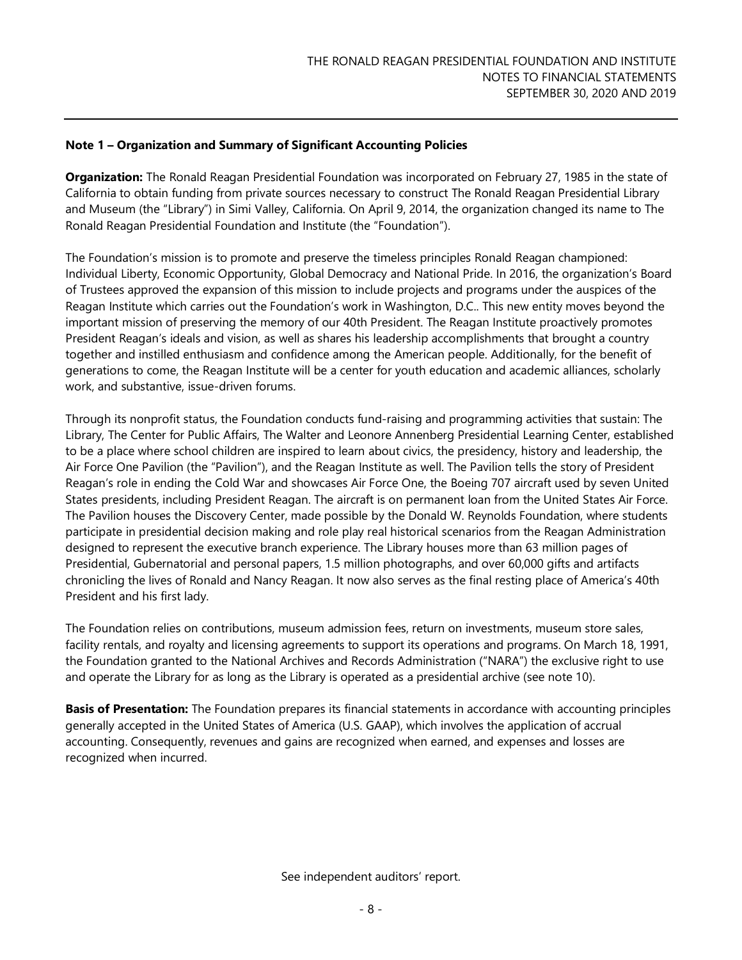**Organization:** The Ronald Reagan Presidential Foundation was incorporated on February 27, 1985 in the state of California to obtain funding from private sources necessary to construct The Ronald Reagan Presidential Library and Museum (the "Library") in Simi Valley, California. On April 9, 2014, the organization changed its name to The Ronald Reagan Presidential Foundation and Institute (the "Foundation").

The Foundation's mission is to promote and preserve the timeless principles Ronald Reagan championed: Individual Liberty, Economic Opportunity, Global Democracy and National Pride. In 2016, the organization's Board of Trustees approved the expansion of this mission to include projects and programs under the auspices of the Reagan Institute which carries out the Foundation's work in Washington, D.C.. This new entity moves beyond the important mission of preserving the memory of our 40th President. The Reagan Institute proactively promotes President Reagan's ideals and vision, as well as shares his leadership accomplishments that brought a country together and instilled enthusiasm and confidence among the American people. Additionally, for the benefit of generations to come, the Reagan Institute will be a center for youth education and academic alliances, scholarly work, and substantive, issue-driven forums.

Through its nonprofit status, the Foundation conducts fund-raising and programming activities that sustain: The Library, The Center for Public Affairs, The Walter and Leonore Annenberg Presidential Learning Center, established to be a place where school children are inspired to learn about civics, the presidency, history and leadership, the Air Force One Pavilion (the "Pavilion"), and the Reagan Institute as well. The Pavilion tells the story of President Reagan's role in ending the Cold War and showcases Air Force One, the Boeing 707 aircraft used by seven United States presidents, including President Reagan. The aircraft is on permanent loan from the United States Air Force. The Pavilion houses the Discovery Center, made possible by the Donald W. Reynolds Foundation, where students participate in presidential decision making and role play real historical scenarios from the Reagan Administration designed to represent the executive branch experience. The Library houses more than 63 million pages of Presidential, Gubernatorial and personal papers, 1.5 million photographs, and over 60,000 gifts and artifacts chronicling the lives of Ronald and Nancy Reagan. It now also serves as the final resting place of America's 40th President and his first lady.

The Foundation relies on contributions, museum admission fees, return on investments, museum store sales, facility rentals, and royalty and licensing agreements to support its operations and programs. On March 18, 1991, the Foundation granted to the National Archives and Records Administration ("NARA") the exclusive right to use and operate the Library for as long as the Library is operated as a presidential archive (see note 10).

**Basis of Presentation:** The Foundation prepares its financial statements in accordance with accounting principles generally accepted in the United States of America (U.S. GAAP), which involves the application of accrual accounting. Consequently, revenues and gains are recognized when earned, and expenses and losses are recognized when incurred.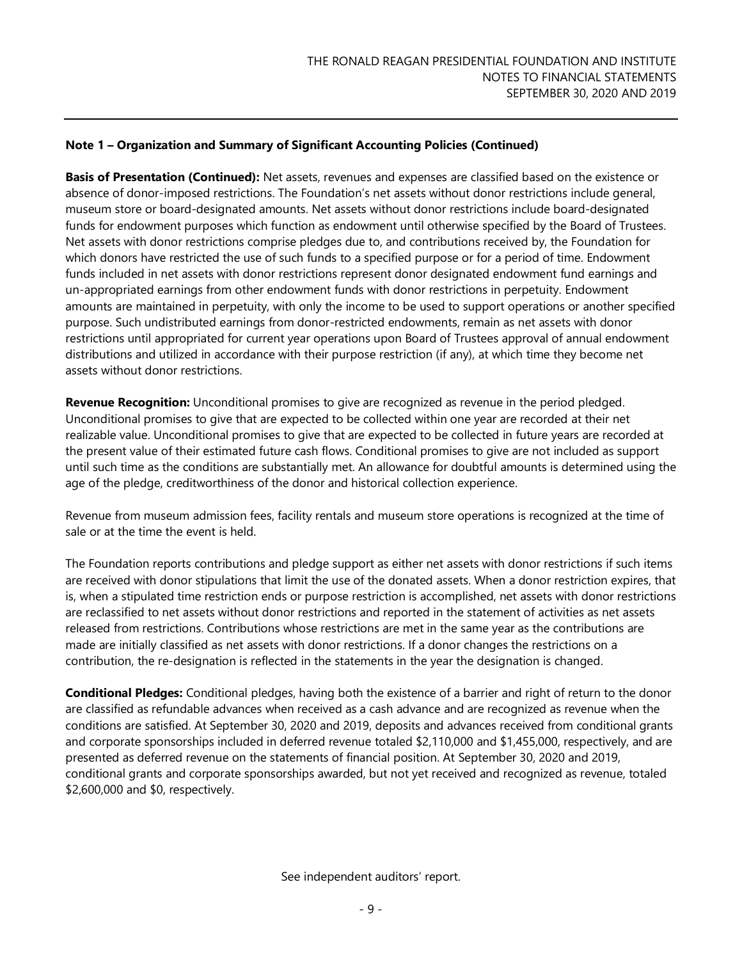**Basis of Presentation (Continued):** Net assets, revenues and expenses are classified based on the existence or absence of donor-imposed restrictions. The Foundation's net assets without donor restrictions include general, museum store or board-designated amounts. Net assets without donor restrictions include board-designated funds for endowment purposes which function as endowment until otherwise specified by the Board of Trustees. Net assets with donor restrictions comprise pledges due to, and contributions received by, the Foundation for which donors have restricted the use of such funds to a specified purpose or for a period of time. Endowment funds included in net assets with donor restrictions represent donor designated endowment fund earnings and un-appropriated earnings from other endowment funds with donor restrictions in perpetuity. Endowment amounts are maintained in perpetuity, with only the income to be used to support operations or another specified purpose. Such undistributed earnings from donor-restricted endowments, remain as net assets with donor restrictions until appropriated for current year operations upon Board of Trustees approval of annual endowment distributions and utilized in accordance with their purpose restriction (if any), at which time they become net assets without donor restrictions.

**Revenue Recognition:** Unconditional promises to give are recognized as revenue in the period pledged. Unconditional promises to give that are expected to be collected within one year are recorded at their net realizable value. Unconditional promises to give that are expected to be collected in future years are recorded at the present value of their estimated future cash flows. Conditional promises to give are not included as support until such time as the conditions are substantially met. An allowance for doubtful amounts is determined using the age of the pledge, creditworthiness of the donor and historical collection experience.

Revenue from museum admission fees, facility rentals and museum store operations is recognized at the time of sale or at the time the event is held.

The Foundation reports contributions and pledge support as either net assets with donor restrictions if such items are received with donor stipulations that limit the use of the donated assets. When a donor restriction expires, that is, when a stipulated time restriction ends or purpose restriction is accomplished, net assets with donor restrictions are reclassified to net assets without donor restrictions and reported in the statement of activities as net assets released from restrictions. Contributions whose restrictions are met in the same year as the contributions are made are initially classified as net assets with donor restrictions. If a donor changes the restrictions on a contribution, the re-designation is reflected in the statements in the year the designation is changed.

**Conditional Pledges:** Conditional pledges, having both the existence of a barrier and right of return to the donor are classified as refundable advances when received as a cash advance and are recognized as revenue when the conditions are satisfied. At September 30, 2020 and 2019, deposits and advances received from conditional grants and corporate sponsorships included in deferred revenue totaled \$2,110,000 and \$1,455,000, respectively, and are presented as deferred revenue on the statements of financial position. At September 30, 2020 and 2019, conditional grants and corporate sponsorships awarded, but not yet received and recognized as revenue, totaled \$2,600,000 and \$0, respectively.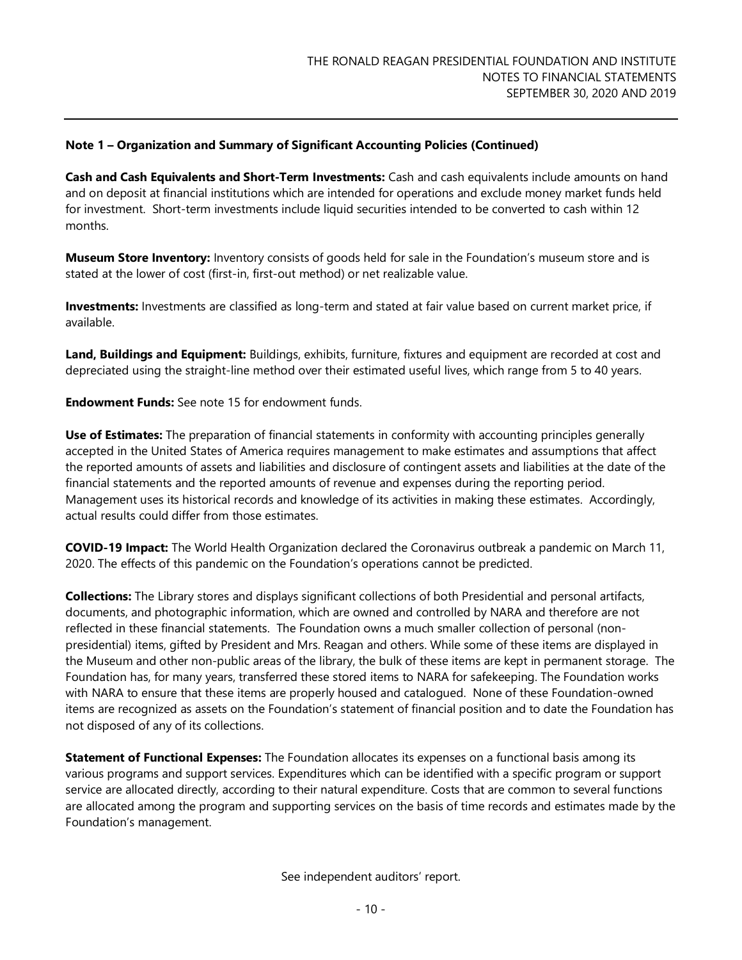**Cash and Cash Equivalents and Short-Term Investments:** Cash and cash equivalents include amounts on hand and on deposit at financial institutions which are intended for operations and exclude money market funds held for investment. Short-term investments include liquid securities intended to be converted to cash within 12 months.

**Museum Store Inventory:** Inventory consists of goods held for sale in the Foundation's museum store and is stated at the lower of cost (first-in, first-out method) or net realizable value.

**Investments:** Investments are classified as long-term and stated at fair value based on current market price, if available.

**Land, Buildings and Equipment:** Buildings, exhibits, furniture, fixtures and equipment are recorded at cost and depreciated using the straight-line method over their estimated useful lives, which range from 5 to 40 years.

**Endowment Funds:** See note 15 for endowment funds.

**Use of Estimates:** The preparation of financial statements in conformity with accounting principles generally accepted in the United States of America requires management to make estimates and assumptions that affect the reported amounts of assets and liabilities and disclosure of contingent assets and liabilities at the date of the financial statements and the reported amounts of revenue and expenses during the reporting period. Management uses its historical records and knowledge of its activities in making these estimates. Accordingly, actual results could differ from those estimates.

**COVID-19 Impact:** The World Health Organization declared the Coronavirus outbreak a pandemic on March 11, 2020. The effects of this pandemic on the Foundation's operations cannot be predicted.

**Collections:** The Library stores and displays significant collections of both Presidential and personal artifacts, documents, and photographic information, which are owned and controlled by NARA and therefore are not reflected in these financial statements. The Foundation owns a much smaller collection of personal (nonpresidential) items, gifted by President and Mrs. Reagan and others. While some of these items are displayed in the Museum and other non-public areas of the library, the bulk of these items are kept in permanent storage. The Foundation has, for many years, transferred these stored items to NARA for safekeeping. The Foundation works with NARA to ensure that these items are properly housed and catalogued. None of these Foundation-owned items are recognized as assets on the Foundation's statement of financial position and to date the Foundation has not disposed of any of its collections.

**Statement of Functional Expenses:** The Foundation allocates its expenses on a functional basis among its various programs and support services. Expenditures which can be identified with a specific program or support service are allocated directly, according to their natural expenditure. Costs that are common to several functions are allocated among the program and supporting services on the basis of time records and estimates made by the Foundation's management.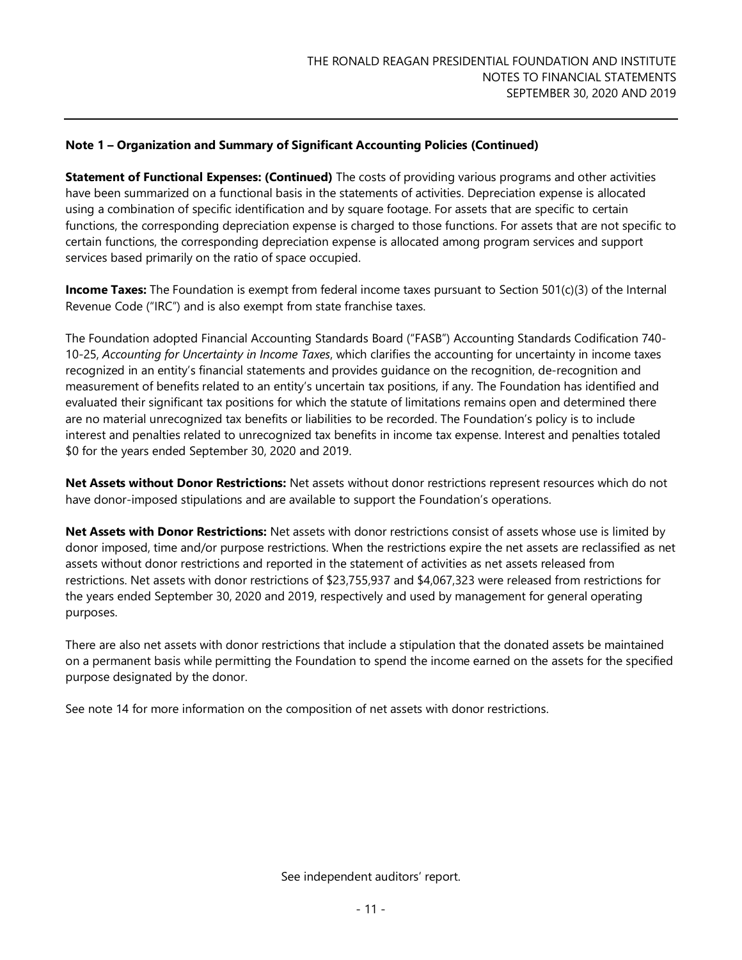**Statement of Functional Expenses: (Continued)** The costs of providing various programs and other activities have been summarized on a functional basis in the statements of activities. Depreciation expense is allocated using a combination of specific identification and by square footage. For assets that are specific to certain functions, the corresponding depreciation expense is charged to those functions. For assets that are not specific to certain functions, the corresponding depreciation expense is allocated among program services and support services based primarily on the ratio of space occupied.

**Income Taxes:** The Foundation is exempt from federal income taxes pursuant to Section 501(c)(3) of the Internal Revenue Code ("IRC") and is also exempt from state franchise taxes.

The Foundation adopted Financial Accounting Standards Board ("FASB") Accounting Standards Codification 740- 10-25, *Accounting for Uncertainty in Income Taxes*, which clarifies the accounting for uncertainty in income taxes recognized in an entity's financial statements and provides guidance on the recognition, de-recognition and measurement of benefits related to an entity's uncertain tax positions, if any. The Foundation has identified and evaluated their significant tax positions for which the statute of limitations remains open and determined there are no material unrecognized tax benefits or liabilities to be recorded. The Foundation's policy is to include interest and penalties related to unrecognized tax benefits in income tax expense. Interest and penalties totaled \$0 for the years ended September 30, 2020 and 2019.

**Net Assets without Donor Restrictions:** Net assets without donor restrictions represent resources which do not have donor-imposed stipulations and are available to support the Foundation's operations.

**Net Assets with Donor Restrictions:** Net assets with donor restrictions consist of assets whose use is limited by donor imposed, time and/or purpose restrictions. When the restrictions expire the net assets are reclassified as net assets without donor restrictions and reported in the statement of activities as net assets released from restrictions. Net assets with donor restrictions of \$23,755,937 and \$4,067,323 were released from restrictions for the years ended September 30, 2020 and 2019, respectively and used by management for general operating purposes.

There are also net assets with donor restrictions that include a stipulation that the donated assets be maintained on a permanent basis while permitting the Foundation to spend the income earned on the assets for the specified purpose designated by the donor.

See note 14 for more information on the composition of net assets with donor restrictions.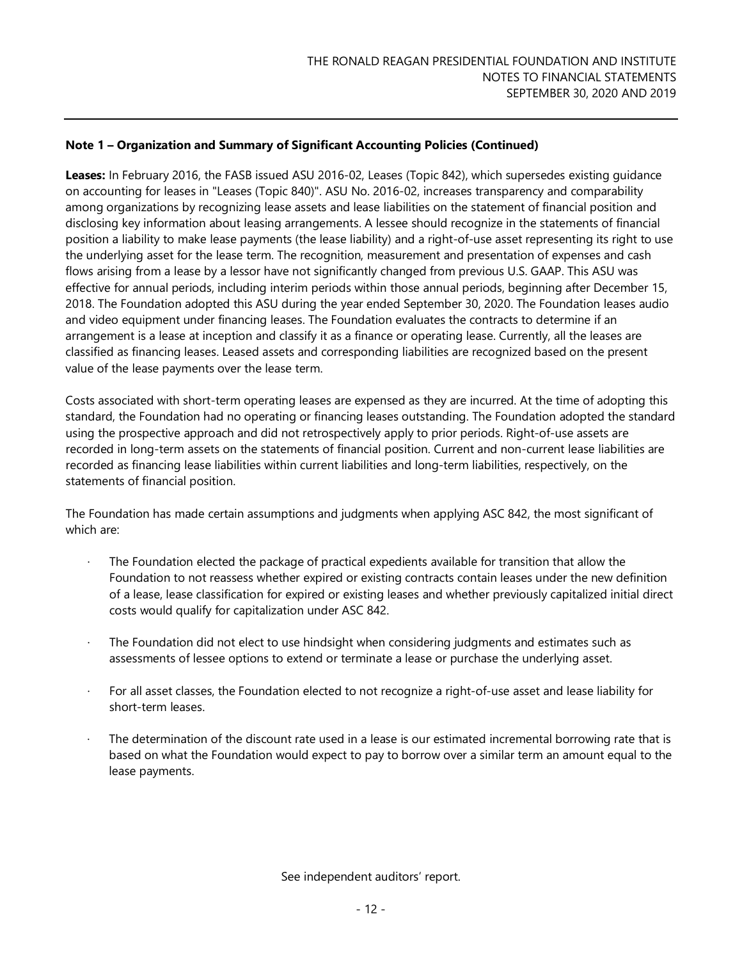**Leases:** In February 2016, the FASB issued ASU 2016-02, Leases (Topic 842), which supersedes existing guidance on accounting for leases in "Leases (Topic 840)". ASU No. 2016-02, increases transparency and comparability among organizations by recognizing lease assets and lease liabilities on the statement of financial position and disclosing key information about leasing arrangements. A lessee should recognize in the statements of financial position a liability to make lease payments (the lease liability) and a right-of-use asset representing its right to use the underlying asset for the lease term. The recognition, measurement and presentation of expenses and cash flows arising from a lease by a lessor have not significantly changed from previous U.S. GAAP. This ASU was effective for annual periods, including interim periods within those annual periods, beginning after December 15, 2018. The Foundation adopted this ASU during the year ended September 30, 2020. The Foundation leases audio and video equipment under financing leases. The Foundation evaluates the contracts to determine if an arrangement is a lease at inception and classify it as a finance or operating lease. Currently, all the leases are classified as financing leases. Leased assets and corresponding liabilities are recognized based on the present value of the lease payments over the lease term.

Costs associated with short-term operating leases are expensed as they are incurred. At the time of adopting this standard, the Foundation had no operating or financing leases outstanding. The Foundation adopted the standard using the prospective approach and did not retrospectively apply to prior periods. Right-of-use assets are recorded in long-term assets on the statements of financial position. Current and non-current lease liabilities are recorded as financing lease liabilities within current liabilities and long-term liabilities, respectively, on the statements of financial position.

The Foundation has made certain assumptions and judgments when applying ASC 842, the most significant of which are:

- The Foundation elected the package of practical expedients available for transition that allow the Foundation to not reassess whether expired or existing contracts contain leases under the new definition of a lease, lease classification for expired or existing leases and whether previously capitalized initial direct costs would qualify for capitalization under ASC 842.
- · The Foundation did not elect to use hindsight when considering judgments and estimates such as assessments of lessee options to extend or terminate a lease or purchase the underlying asset.
- · For all asset classes, the Foundation elected to not recognize a right-of-use asset and lease liability for short-term leases.
- The determination of the discount rate used in a lease is our estimated incremental borrowing rate that is based on what the Foundation would expect to pay to borrow over a similar term an amount equal to the lease payments.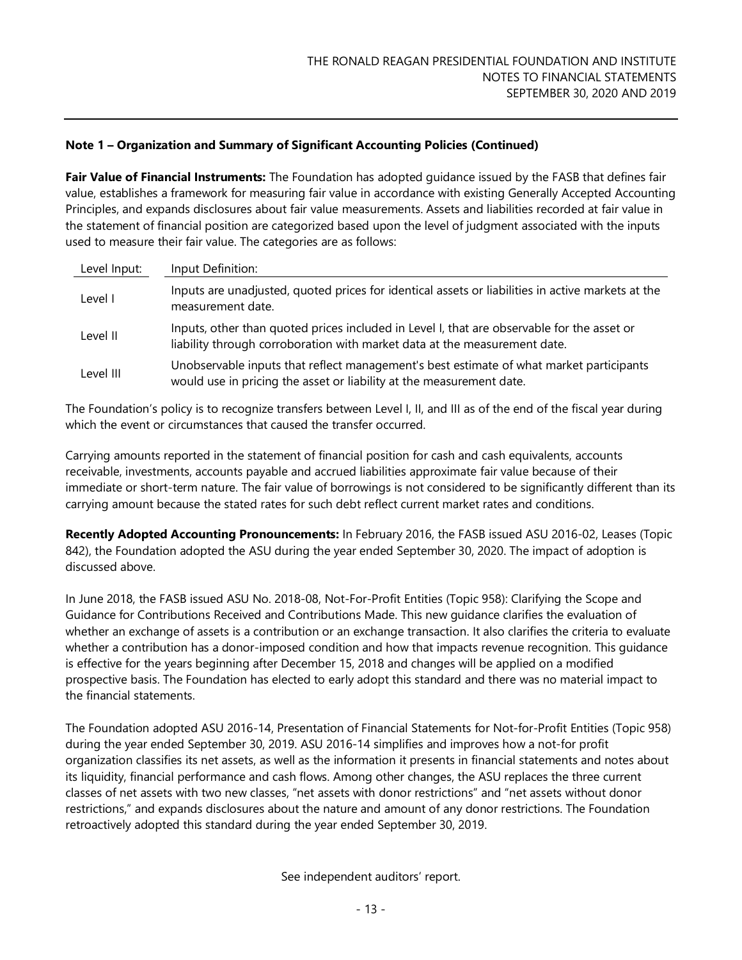**Fair Value of Financial Instruments:** The Foundation has adopted guidance issued by the FASB that defines fair value, establishes a framework for measuring fair value in accordance with existing Generally Accepted Accounting Principles, and expands disclosures about fair value measurements. Assets and liabilities recorded at fair value in the statement of financial position are categorized based upon the level of judgment associated with the inputs used to measure their fair value. The categories are as follows:

| Level Input: | Input Definition:                                                                                                                                                       |
|--------------|-------------------------------------------------------------------------------------------------------------------------------------------------------------------------|
| Level I      | Inputs are unadjusted, quoted prices for identical assets or liabilities in active markets at the<br>measurement date.                                                  |
| Level II     | Inputs, other than quoted prices included in Level I, that are observable for the asset or<br>liability through corroboration with market data at the measurement date. |
| Level III    | Unobservable inputs that reflect management's best estimate of what market participants<br>would use in pricing the asset or liability at the measurement date.         |

The Foundation's policy is to recognize transfers between Level I, II, and III as of the end of the fiscal year during which the event or circumstances that caused the transfer occurred.

Carrying amounts reported in the statement of financial position for cash and cash equivalents, accounts receivable, investments, accounts payable and accrued liabilities approximate fair value because of their immediate or short-term nature. The fair value of borrowings is not considered to be significantly different than its carrying amount because the stated rates for such debt reflect current market rates and conditions.

**Recently Adopted Accounting Pronouncements:** In February 2016, the FASB issued ASU 2016-02, Leases (Topic 842), the Foundation adopted the ASU during the year ended September 30, 2020. The impact of adoption is discussed above.

In June 2018, the FASB issued ASU No. 2018-08, Not-For-Profit Entities (Topic 958): Clarifying the Scope and Guidance for Contributions Received and Contributions Made. This new guidance clarifies the evaluation of whether an exchange of assets is a contribution or an exchange transaction. It also clarifies the criteria to evaluate whether a contribution has a donor-imposed condition and how that impacts revenue recognition. This guidance is effective for the years beginning after December 15, 2018 and changes will be applied on a modified prospective basis. The Foundation has elected to early adopt this standard and there was no material impact to the financial statements.

The Foundation adopted ASU 2016-14, Presentation of Financial Statements for Not-for-Profit Entities (Topic 958) during the year ended September 30, 2019. ASU 2016-14 simplifies and improves how a not-for profit organization classifies its net assets, as well as the information it presents in financial statements and notes about its liquidity, financial performance and cash flows. Among other changes, the ASU replaces the three current classes of net assets with two new classes, "net assets with donor restrictions" and "net assets without donor restrictions," and expands disclosures about the nature and amount of any donor restrictions. The Foundation retroactively adopted this standard during the year ended September 30, 2019.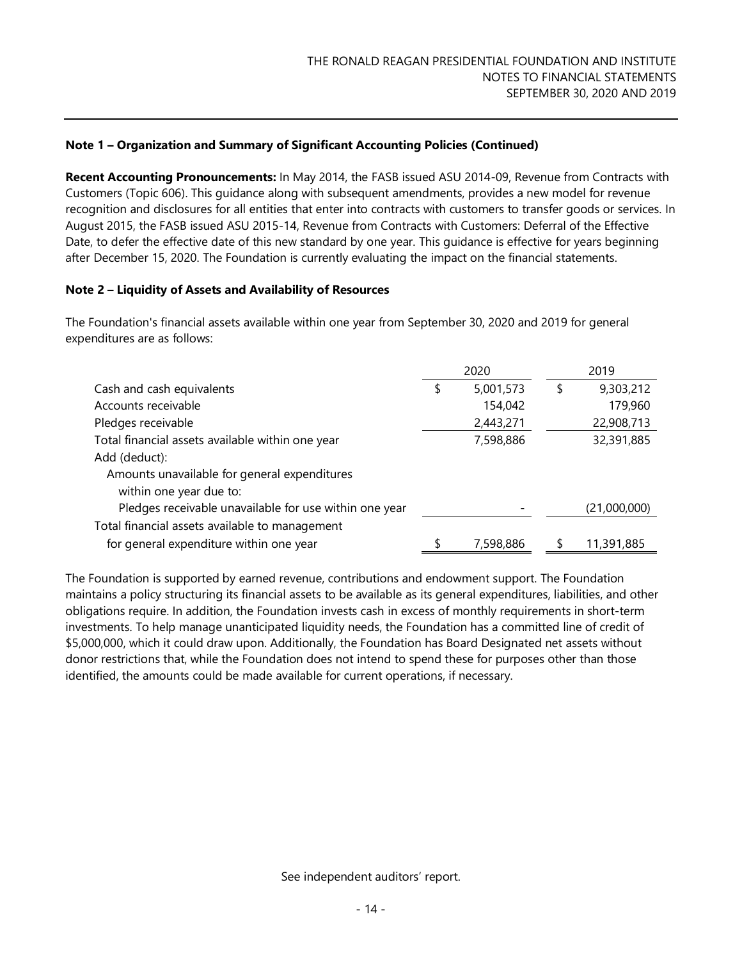**Recent Accounting Pronouncements:** In May 2014, the FASB issued ASU 2014-09, Revenue from Contracts with Customers (Topic 606). This guidance along with subsequent amendments, provides a new model for revenue recognition and disclosures for all entities that enter into contracts with customers to transfer goods or services. In August 2015, the FASB issued ASU 2015-14, Revenue from Contracts with Customers: Deferral of the Effective Date, to defer the effective date of this new standard by one year. This guidance is effective for years beginning after December 15, 2020. The Foundation is currently evaluating the impact on the financial statements.

#### **Note 2 – Liquidity of Assets and Availability of Resources**

The Foundation's financial assets available within one year from September 30, 2020 and 2019 for general expenditures are as follows:

|                                                        | 2020            | 2019            |
|--------------------------------------------------------|-----------------|-----------------|
| Cash and cash equivalents                              | \$<br>5,001,573 | \$<br>9,303,212 |
| Accounts receivable                                    | 154,042         | 179,960         |
| Pledges receivable                                     | 2,443,271       | 22,908,713      |
| Total financial assets available within one year       | 7,598,886       | 32,391,885      |
| Add (deduct):                                          |                 |                 |
| Amounts unavailable for general expenditures           |                 |                 |
| within one year due to:                                |                 |                 |
| Pledges receivable unavailable for use within one year |                 | (21,000,000)    |
| Total financial assets available to management         |                 |                 |
| for general expenditure within one year                | 7,598,886       | 11,391,885      |

The Foundation is supported by earned revenue, contributions and endowment support. The Foundation maintains a policy structuring its financial assets to be available as its general expenditures, liabilities, and other obligations require. In addition, the Foundation invests cash in excess of monthly requirements in short-term investments. To help manage unanticipated liquidity needs, the Foundation has a committed line of credit of \$5,000,000, which it could draw upon. Additionally, the Foundation has Board Designated net assets without donor restrictions that, while the Foundation does not intend to spend these for purposes other than those identified, the amounts could be made available for current operations, if necessary.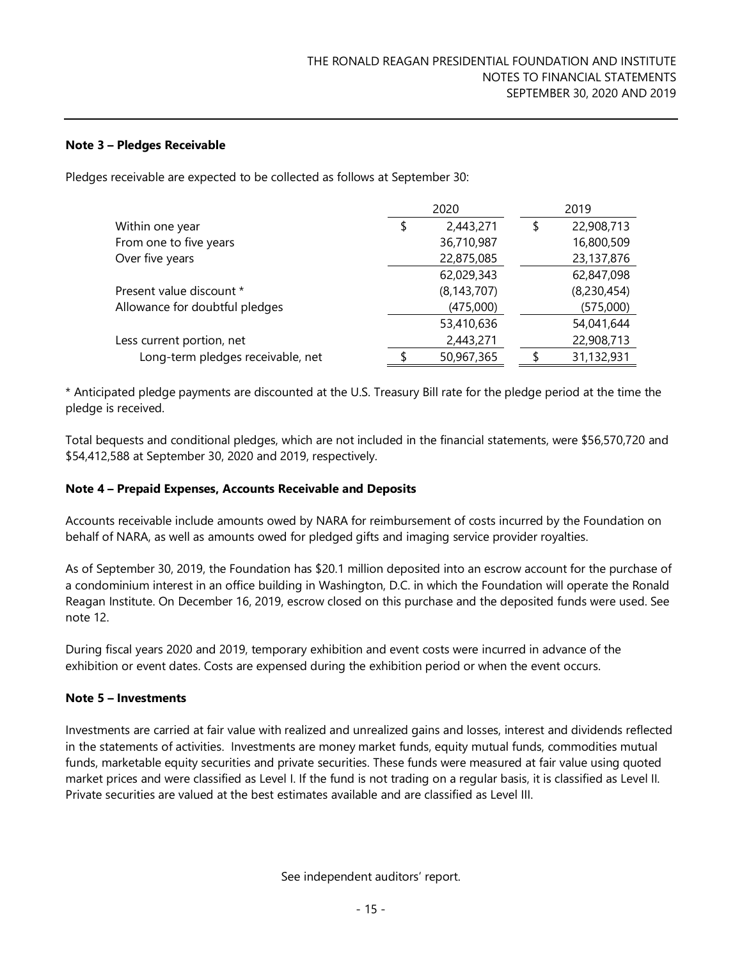#### **Note 3 – Pledges Receivable**

Pledges receivable are expected to be collected as follows at September 30:

|                                   | 2020            | 2019             |
|-----------------------------------|-----------------|------------------|
| Within one year                   | \$<br>2,443,271 | \$<br>22,908,713 |
| From one to five years            | 36,710,987      | 16,800,509       |
| Over five years                   | 22,875,085      | 23,137,876       |
|                                   | 62,029,343      | 62,847,098       |
| Present value discount *          | (8, 143, 707)   | (8,230,454)      |
| Allowance for doubtful pledges    | (475,000)       | (575,000)        |
|                                   | 53,410,636      | 54,041,644       |
| Less current portion, net         | 2,443,271       | 22,908,713       |
| Long-term pledges receivable, net | 50,967,365      | 31,132,931       |

\* Anticipated pledge payments are discounted at the U.S. Treasury Bill rate for the pledge period at the time the pledge is received.

Total bequests and conditional pledges, which are not included in the financial statements, were \$56,570,720 and \$54,412,588 at September 30, 2020 and 2019, respectively.

#### **Note 4 – Prepaid Expenses, Accounts Receivable and Deposits**

Accounts receivable include amounts owed by NARA for reimbursement of costs incurred by the Foundation on behalf of NARA, as well as amounts owed for pledged gifts and imaging service provider royalties.

As of September 30, 2019, the Foundation has \$20.1 million deposited into an escrow account for the purchase of a condominium interest in an office building in Washington, D.C. in which the Foundation will operate the Ronald Reagan Institute. On December 16, 2019, escrow closed on this purchase and the deposited funds were used. See note 12.

During fiscal years 2020 and 2019, temporary exhibition and event costs were incurred in advance of the exhibition or event dates. Costs are expensed during the exhibition period or when the event occurs.

#### **Note 5 – Investments**

Investments are carried at fair value with realized and unrealized gains and losses, interest and dividends reflected in the statements of activities. Investments are money market funds, equity mutual funds, commodities mutual funds, marketable equity securities and private securities. These funds were measured at fair value using quoted market prices and were classified as Level I. If the fund is not trading on a regular basis, it is classified as Level II. Private securities are valued at the best estimates available and are classified as Level III.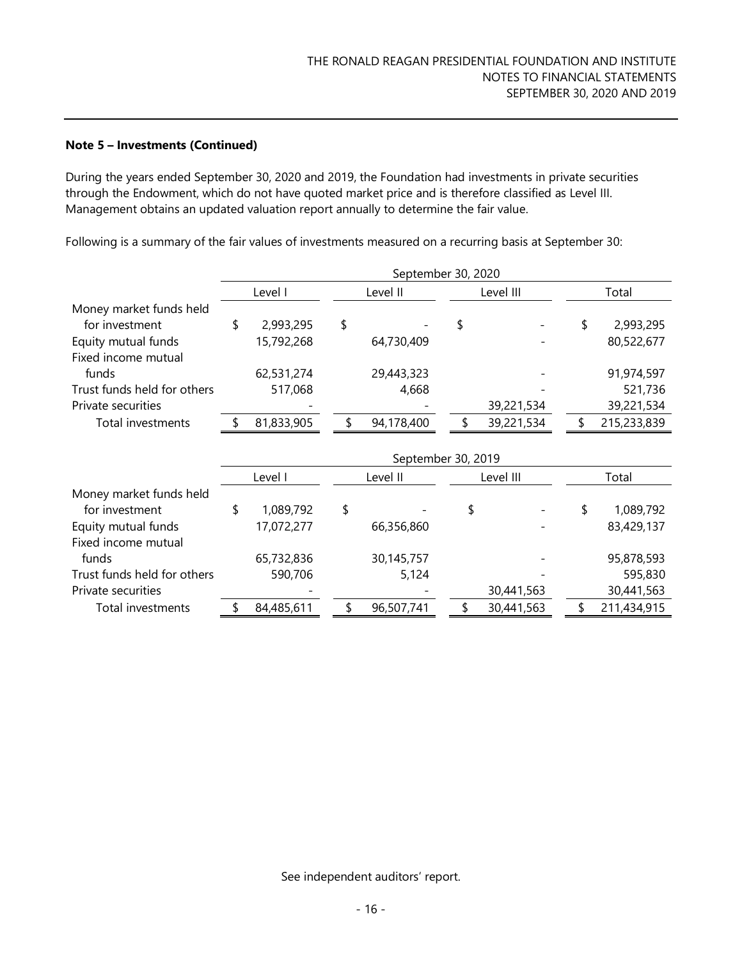#### **Note 5 – Investments (Continued)**

During the years ended September 30, 2020 and 2019, the Foundation had investments in private securities through the Endowment, which do not have quoted market price and is therefore classified as Level III. Management obtains an updated valuation report annually to determine the fair value.

Following is a summary of the fair values of investments measured on a recurring basis at September 30:

|                             | September 30, 2020 |    |            |    |            |       |             |  |  |
|-----------------------------|--------------------|----|------------|----|------------|-------|-------------|--|--|
|                             | Level I            |    | Level II   |    | Level III  |       | Total       |  |  |
| Money market funds held     |                    |    |            |    |            |       |             |  |  |
| for investment              | \$<br>2,993,295    | \$ |            | S  |            | \$    | 2,993,295   |  |  |
| Equity mutual funds         | 15,792,268         |    | 64,730,409 |    |            |       | 80,522,677  |  |  |
| Fixed income mutual         |                    |    |            |    |            |       |             |  |  |
| funds                       | 62,531,274         |    | 29,443,323 |    |            |       | 91,974,597  |  |  |
| Trust funds held for others | 517,068            |    | 4,668      |    |            |       | 521,736     |  |  |
| Private securities          |                    |    |            |    | 39,221,534 |       | 39,221,534  |  |  |
| Total investments           | 81,833,905         |    | 94,178,400 |    | 39,221,534 |       | 215,233,839 |  |  |
|                             |                    |    |            |    |            |       |             |  |  |
|                             | September 30, 2019 |    |            |    |            |       |             |  |  |
|                             | Level I            |    | Level II   |    | Level III  | Total |             |  |  |
| Money market funds held     |                    |    |            |    |            |       |             |  |  |
| for investment              | \$<br>1,089,792    | \$ |            | \$ |            | \$    | 1,089,792   |  |  |
| Equity mutual funds         | 17,072,277         |    | 66,356,860 |    |            |       | 83,429,137  |  |  |
| Fixed income mutual         |                    |    |            |    |            |       |             |  |  |
| funds                       | 65,732,836         |    | 30,145,757 |    |            |       | 95,878,593  |  |  |
| Trust funds held for others | 590,706            |    | 5,124      |    |            |       | 595,830     |  |  |
| Private securities          |                    |    |            |    | 30,441,563 |       | 30,441,563  |  |  |
| Total investments           | 84,485,611         | \$ | 96,507,741 |    | 30,441,563 |       | 211,434,915 |  |  |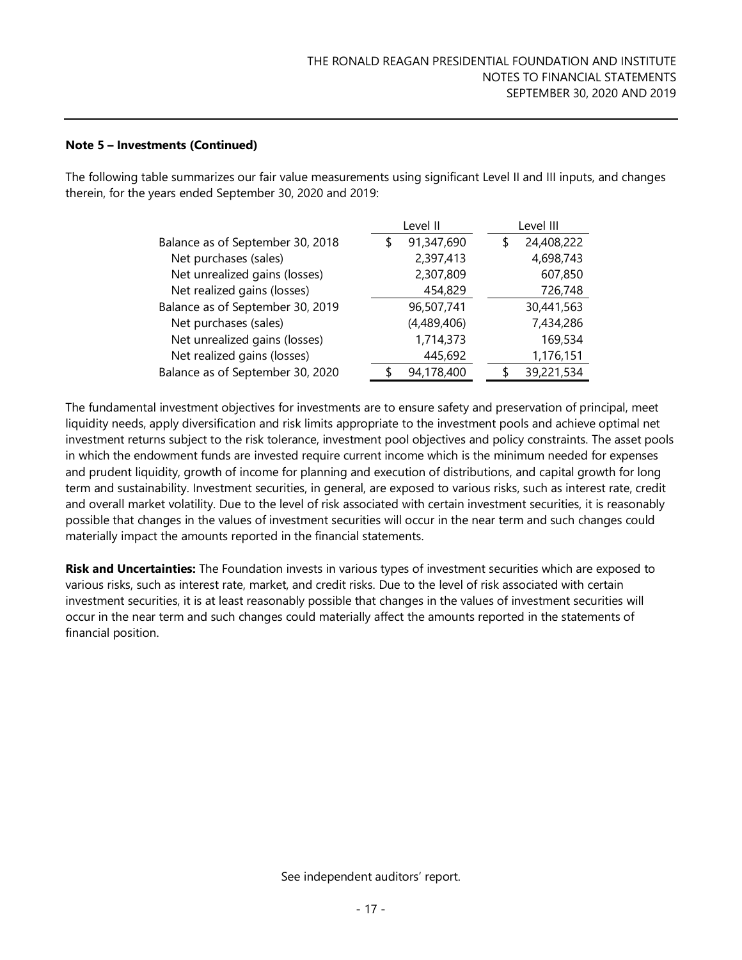#### **Note 5 – Investments (Continued)**

The following table summarizes our fair value measurements using significant Level II and III inputs, and changes therein, for the years ended September 30, 2020 and 2019:

|                                  | Level II        | Level III  |
|----------------------------------|-----------------|------------|
| Balance as of September 30, 2018 | 91,347,690<br>S | 24,408,222 |
| Net purchases (sales)            | 2,397,413       | 4,698,743  |
| Net unrealized gains (losses)    | 2,307,809       | 607,850    |
| Net realized gains (losses)      | 454,829         | 726,748    |
| Balance as of September 30, 2019 | 96,507,741      | 30,441,563 |
| Net purchases (sales)            | (4,489,406)     | 7,434,286  |
| Net unrealized gains (losses)    | 1,714,373       | 169,534    |
| Net realized gains (losses)      | 445,692         | 1,176,151  |
| Balance as of September 30, 2020 | 94,178,400      | 39,221,534 |

The fundamental investment objectives for investments are to ensure safety and preservation of principal, meet liquidity needs, apply diversification and risk limits appropriate to the investment pools and achieve optimal net investment returns subject to the risk tolerance, investment pool objectives and policy constraints. The asset pools in which the endowment funds are invested require current income which is the minimum needed for expenses and prudent liquidity, growth of income for planning and execution of distributions, and capital growth for long term and sustainability. Investment securities, in general, are exposed to various risks, such as interest rate, credit and overall market volatility. Due to the level of risk associated with certain investment securities, it is reasonably possible that changes in the values of investment securities will occur in the near term and such changes could materially impact the amounts reported in the financial statements.

**Risk and Uncertainties:** The Foundation invests in various types of investment securities which are exposed to various risks, such as interest rate, market, and credit risks. Due to the level of risk associated with certain investment securities, it is at least reasonably possible that changes in the values of investment securities will occur in the near term and such changes could materially affect the amounts reported in the statements of financial position.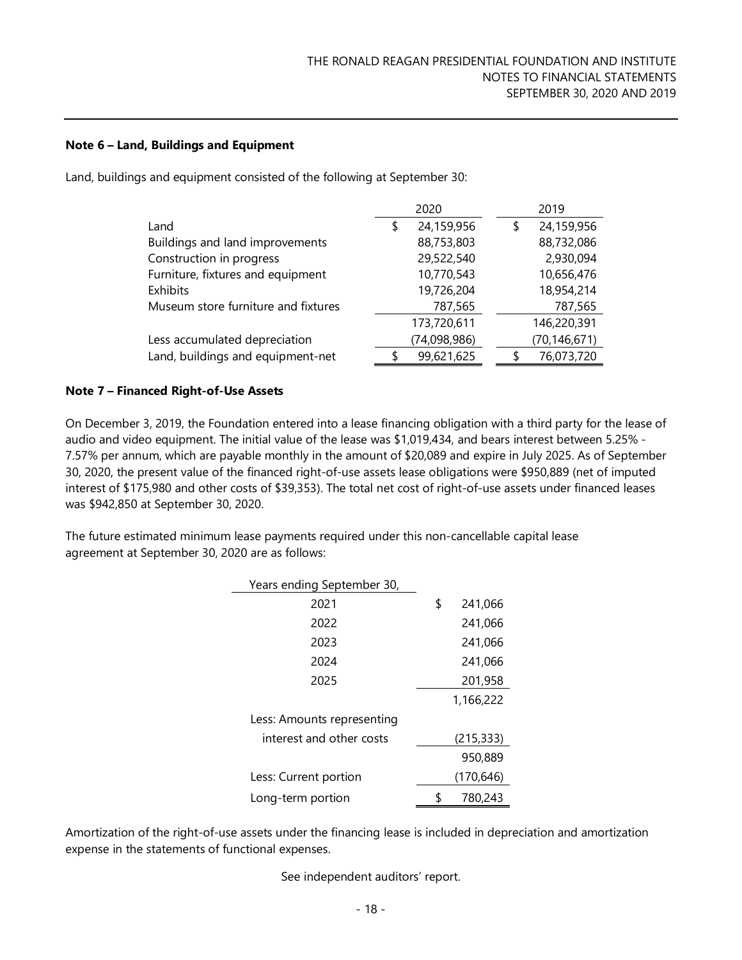#### **Note 6 – Land, Buildings and Equipment**

Land, buildings and equipment consisted of the following at September 30:

|                                     | 2020 |              |   | 2019           |
|-------------------------------------|------|--------------|---|----------------|
| Land                                | \$   | 24,159,956   | S | 24,159,956     |
| Buildings and land improvements     |      | 88,753,803   |   | 88,732,086     |
| Construction in progress            |      | 29,522,540   |   | 2,930,094      |
| Furniture, fixtures and equipment   |      | 10,770,543   |   | 10,656,476     |
| Exhibits                            |      | 19,726,204   |   | 18,954,214     |
| Museum store furniture and fixtures |      | 787,565      |   | 787,565        |
|                                     |      | 173,720,611  |   | 146,220,391    |
| Less accumulated depreciation       |      | (74,098,986) |   | (70, 146, 671) |
| Land, buildings and equipment-net   |      | 99,621,625   |   | 76,073,720     |

#### **Note 7 – Financed Right-of-Use Assets**

On December 3, 2019, the Foundation entered into a lease financing obligation with a third party for the lease of audio and video equipment. The initial value of the lease was \$1,019,434, and bears interest between 5.25% - 7.57% per annum, which are payable monthly in the amount of \$20,089 and expire in July 2025. As of September 30, 2020, the present value of the financed right-of-use assets lease obligations were \$950,889 (net of imputed interest of \$175,980 and other costs of \$39,353). The total net cost of right-of-use assets under financed leases was \$942,850 at September 30, 2020.

The future estimated minimum lease payments required under this non-cancellable capital lease agreement at September 30, 2020 are as follows:

| Years ending September 30, |    |            |
|----------------------------|----|------------|
| 2021                       | \$ | 241,066    |
| 2022                       |    | 241,066    |
| 2023                       |    | 241,066    |
| 2024                       |    | 241,066    |
| 2025                       |    | 201,958    |
|                            |    | 1,166,222  |
| Less: Amounts representing |    |            |
| interest and other costs   |    | (215, 333) |
|                            |    | 950,889    |
| Less: Current portion      |    | (170, 646) |
| Long-term portion          | S  | 780,243    |

Amortization of the right-of-use assets under the financing lease is included in depreciation and amortization expense in the statements of functional expenses.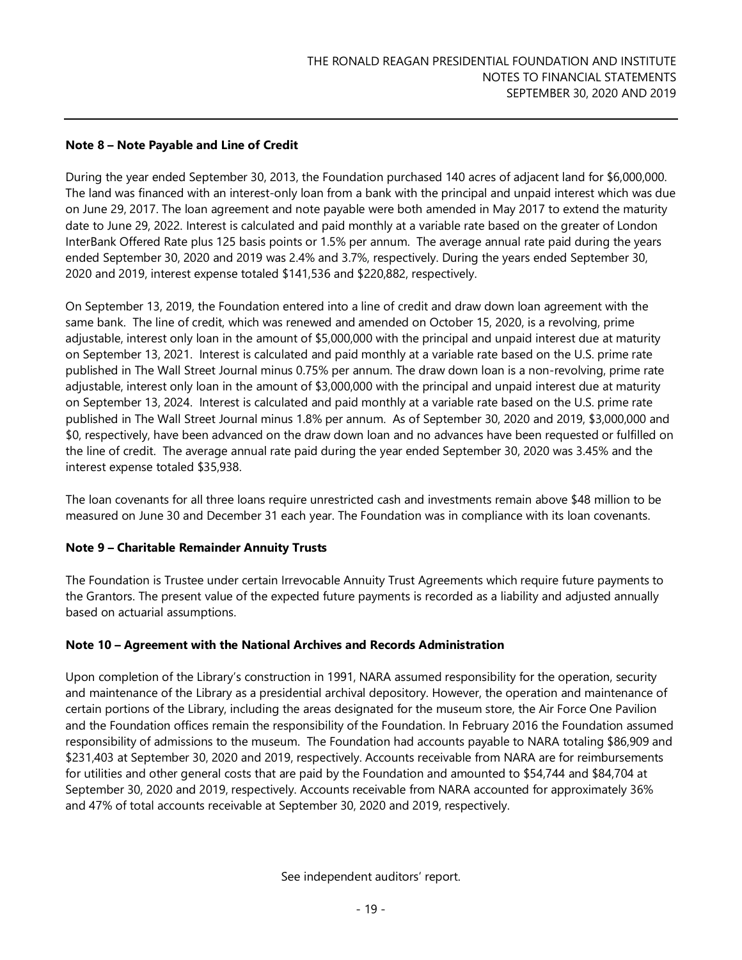#### **Note 8 – Note Payable and Line of Credit**

During the year ended September 30, 2013, the Foundation purchased 140 acres of adjacent land for \$6,000,000. The land was financed with an interest-only loan from a bank with the principal and unpaid interest which was due on June 29, 2017. The loan agreement and note payable were both amended in May 2017 to extend the maturity date to June 29, 2022. Interest is calculated and paid monthly at a variable rate based on the greater of London InterBank Offered Rate plus 125 basis points or 1.5% per annum. The average annual rate paid during the years ended September 30, 2020 and 2019 was 2.4% and 3.7%, respectively. During the years ended September 30, 2020 and 2019, interest expense totaled \$141,536 and \$220,882, respectively.

On September 13, 2019, the Foundation entered into a line of credit and draw down loan agreement with the same bank. The line of credit, which was renewed and amended on October 15, 2020, is a revolving, prime adjustable, interest only loan in the amount of \$5,000,000 with the principal and unpaid interest due at maturity on September 13, 2021. Interest is calculated and paid monthly at a variable rate based on the U.S. prime rate published in The Wall Street Journal minus 0.75% per annum. The draw down loan is a non-revolving, prime rate adjustable, interest only loan in the amount of \$3,000,000 with the principal and unpaid interest due at maturity on September 13, 2024. Interest is calculated and paid monthly at a variable rate based on the U.S. prime rate published in The Wall Street Journal minus 1.8% per annum. As of September 30, 2020 and 2019, \$3,000,000 and \$0, respectively, have been advanced on the draw down loan and no advances have been requested or fulfilled on the line of credit. The average annual rate paid during the year ended September 30, 2020 was 3.45% and the interest expense totaled \$35,938.

The loan covenants for all three loans require unrestricted cash and investments remain above \$48 million to be measured on June 30 and December 31 each year. The Foundation was in compliance with its loan covenants.

#### **Note 9 – Charitable Remainder Annuity Trusts**

The Foundation is Trustee under certain Irrevocable Annuity Trust Agreements which require future payments to the Grantors. The present value of the expected future payments is recorded as a liability and adjusted annually based on actuarial assumptions.

#### **Note 10 – Agreement with the National Archives and Records Administration**

Upon completion of the Library's construction in 1991, NARA assumed responsibility for the operation, security and maintenance of the Library as a presidential archival depository. However, the operation and maintenance of certain portions of the Library, including the areas designated for the museum store, the Air Force One Pavilion and the Foundation offices remain the responsibility of the Foundation. In February 2016 the Foundation assumed responsibility of admissions to the museum. The Foundation had accounts payable to NARA totaling \$86,909 and \$231,403 at September 30, 2020 and 2019, respectively. Accounts receivable from NARA are for reimbursements for utilities and other general costs that are paid by the Foundation and amounted to \$54,744 and \$84,704 at September 30, 2020 and 2019, respectively. Accounts receivable from NARA accounted for approximately 36% and 47% of total accounts receivable at September 30, 2020 and 2019, respectively.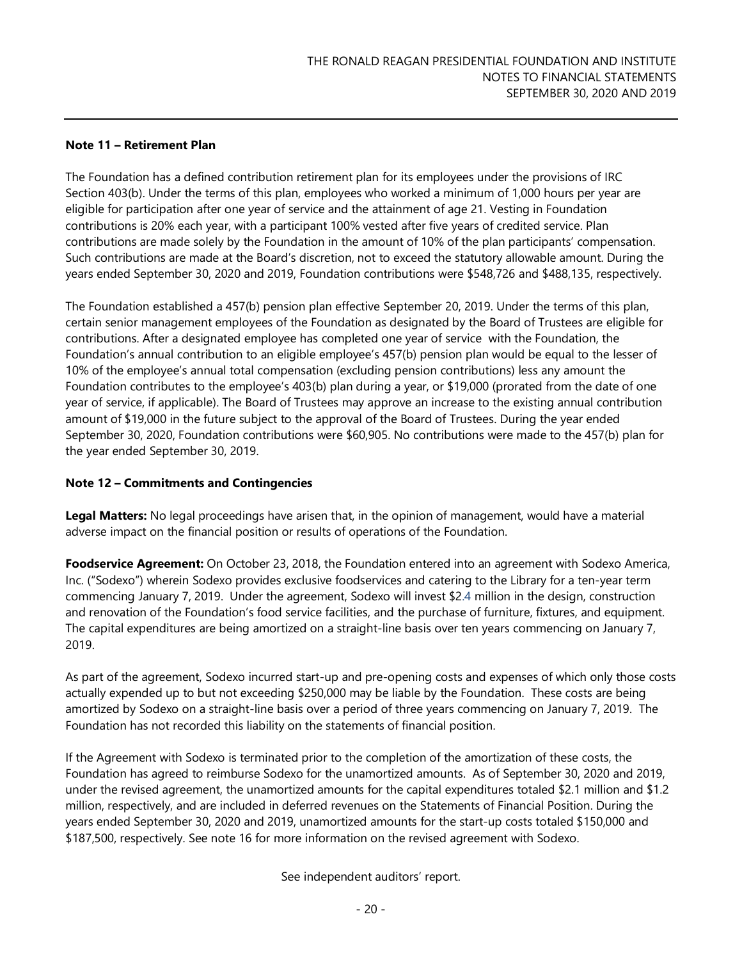#### **Note 11 – Retirement Plan**

The Foundation has a defined contribution retirement plan for its employees under the provisions of IRC Section 403(b). Under the terms of this plan, employees who worked a minimum of 1,000 hours per year are eligible for participation after one year of service and the attainment of age 21. Vesting in Foundation contributions is 20% each year, with a participant 100% vested after five years of credited service. Plan contributions are made solely by the Foundation in the amount of 10% of the plan participants' compensation. Such contributions are made at the Board's discretion, not to exceed the statutory allowable amount. During the years ended September 30, 2020 and 2019, Foundation contributions were \$548,726 and \$488,135, respectively.

The Foundation established a 457(b) pension plan effective September 20, 2019. Under the terms of this plan, certain senior management employees of the Foundation as designated by the Board of Trustees are eligible for contributions. After a designated employee has completed one year of service with the Foundation, the Foundation's annual contribution to an eligible employee's 457(b) pension plan would be equal to the lesser of 10% of the employee's annual total compensation (excluding pension contributions) less any amount the Foundation contributes to the employee's 403(b) plan during a year, or \$19,000 (prorated from the date of one year of service, if applicable). The Board of Trustees may approve an increase to the existing annual contribution amount of \$19,000 in the future subject to the approval of the Board of Trustees. During the year ended September 30, 2020, Foundation contributions were \$60,905. No contributions were made to the 457(b) plan for the year ended September 30, 2019.

#### **Note 12 – Commitments and Contingencies**

**Legal Matters:** No legal proceedings have arisen that, in the opinion of management, would have a material adverse impact on the financial position or results of operations of the Foundation.

**Foodservice Agreement:** On October 23, 2018, the Foundation entered into an agreement with Sodexo America, Inc. ("Sodexo") wherein Sodexo provides exclusive foodservices and catering to the Library for a ten-year term commencing January 7, 2019. Under the agreement, Sodexo will invest \$2.4 million in the design, construction and renovation of the Foundation's food service facilities, and the purchase of furniture, fixtures, and equipment. The capital expenditures are being amortized on a straight-line basis over ten years commencing on January 7, 2019.

As part of the agreement, Sodexo incurred start-up and pre-opening costs and expenses of which only those costs actually expended up to but not exceeding \$250,000 may be liable by the Foundation. These costs are being amortized by Sodexo on a straight-line basis over a period of three years commencing on January 7, 2019. The Foundation has not recorded this liability on the statements of financial position.

If the Agreement with Sodexo is terminated prior to the completion of the amortization of these costs, the Foundation has agreed to reimburse Sodexo for the unamortized amounts. As of September 30, 2020 and 2019, under the revised agreement, the unamortized amounts for the capital expenditures totaled \$2.1 million and \$1.2 million, respectively, and are included in deferred revenues on the Statements of Financial Position. During the years ended September 30, 2020 and 2019, unamortized amounts for the start-up costs totaled \$150,000 and \$187,500, respectively. See note 16 for more information on the revised agreement with Sodexo.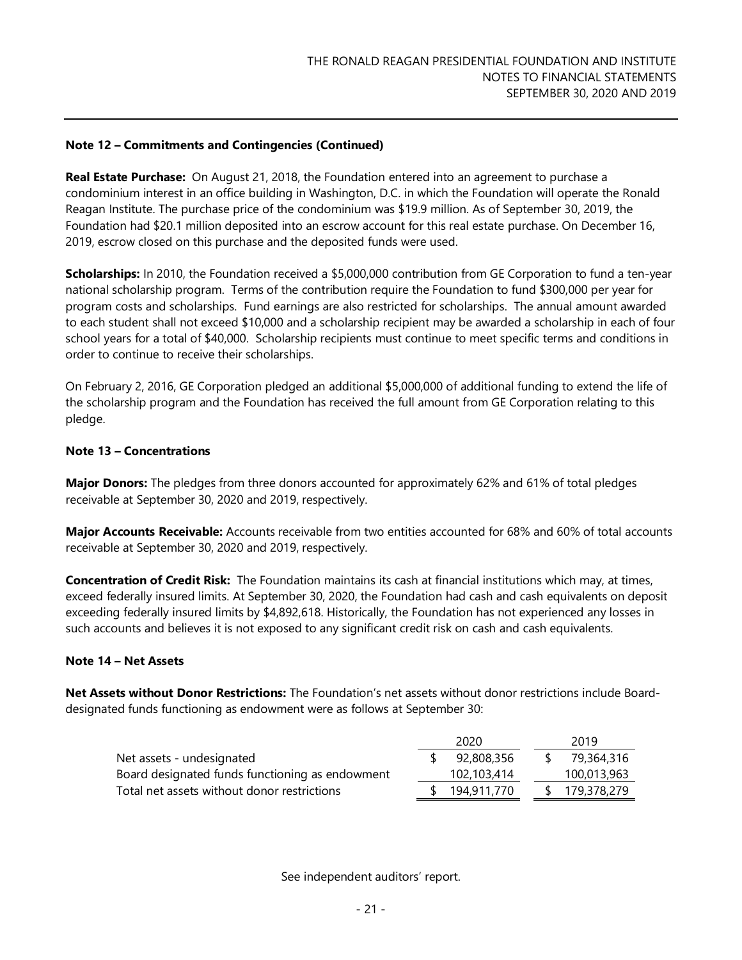#### **Note 12 – Commitments and Contingencies (Continued)**

**Real Estate Purchase:** On August 21, 2018, the Foundation entered into an agreement to purchase a condominium interest in an office building in Washington, D.C. in which the Foundation will operate the Ronald Reagan Institute. The purchase price of the condominium was \$19.9 million. As of September 30, 2019, the Foundation had \$20.1 million deposited into an escrow account for this real estate purchase. On December 16, 2019, escrow closed on this purchase and the deposited funds were used.

**Scholarships:** In 2010, the Foundation received a \$5,000,000 contribution from GE Corporation to fund a ten-year national scholarship program. Terms of the contribution require the Foundation to fund \$300,000 per year for program costs and scholarships. Fund earnings are also restricted for scholarships. The annual amount awarded to each student shall not exceed \$10,000 and a scholarship recipient may be awarded a scholarship in each of four school years for a total of \$40,000. Scholarship recipients must continue to meet specific terms and conditions in order to continue to receive their scholarships.

On February 2, 2016, GE Corporation pledged an additional \$5,000,000 of additional funding to extend the life of the scholarship program and the Foundation has received the full amount from GE Corporation relating to this pledge.

#### **Note 13 – Concentrations**

**Major Donors:** The pledges from three donors accounted for approximately 62% and 61% of total pledges receivable at September 30, 2020 and 2019, respectively.

**Major Accounts Receivable:** Accounts receivable from two entities accounted for 68% and 60% of total accounts receivable at September 30, 2020 and 2019, respectively.

**Concentration of Credit Risk:** The Foundation maintains its cash at financial institutions which may, at times, exceed federally insured limits. At September 30, 2020, the Foundation had cash and cash equivalents on deposit exceeding federally insured limits by \$4,892,618. Historically, the Foundation has not experienced any losses in such accounts and believes it is not exposed to any significant credit risk on cash and cash equivalents.

#### **Note 14 – Net Assets**

**Net Assets without Donor Restrictions:** The Foundation's net assets without donor restrictions include Boarddesignated funds functioning as endowment were as follows at September 30:

|                                                 | 2020        |  | 2019        |
|-------------------------------------------------|-------------|--|-------------|
| Net assets - undesignated                       | 92,808,356  |  | 79,364,316  |
| Board designated funds functioning as endowment | 102,103,414 |  | 100,013,963 |
| Total net assets without donor restrictions     | 194,911,770 |  | 179,378,279 |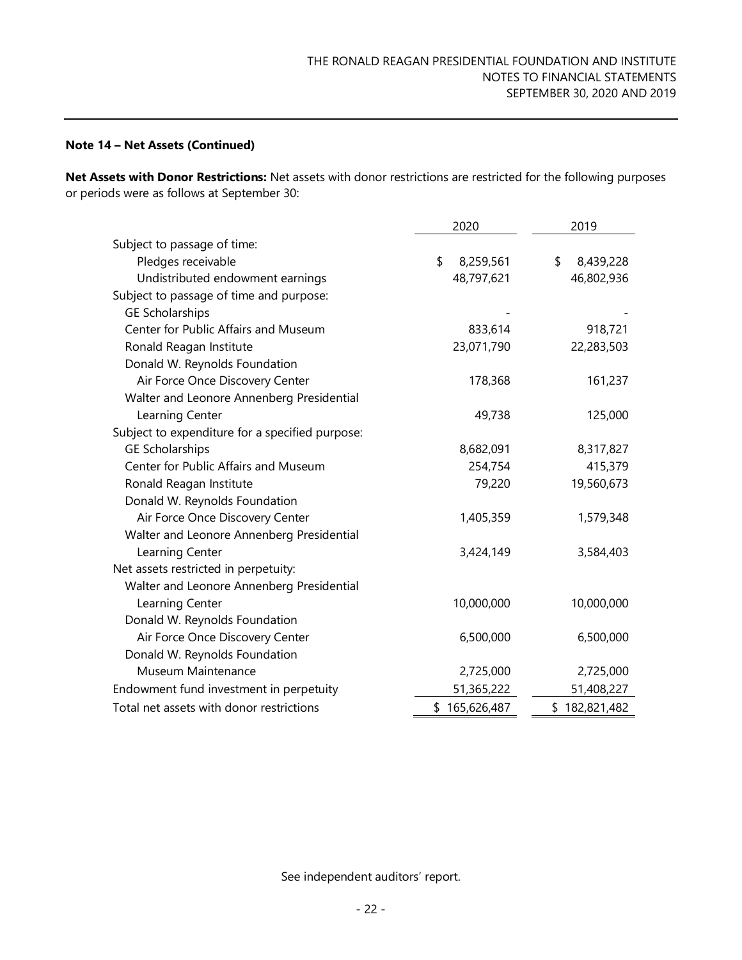#### **Note 14 – Net Assets (Continued)**

**Net Assets with Donor Restrictions:** Net assets with donor restrictions are restricted for the following purposes or periods were as follows at September 30:

|                                                 | 2020            | 2019            |  |
|-------------------------------------------------|-----------------|-----------------|--|
| Subject to passage of time:                     |                 |                 |  |
| Pledges receivable                              | \$<br>8,259,561 | \$<br>8,439,228 |  |
| Undistributed endowment earnings                | 48,797,621      | 46,802,936      |  |
| Subject to passage of time and purpose:         |                 |                 |  |
| <b>GE Scholarships</b>                          |                 |                 |  |
| Center for Public Affairs and Museum            | 833,614         | 918,721         |  |
| Ronald Reagan Institute                         | 23,071,790      | 22,283,503      |  |
| Donald W. Reynolds Foundation                   |                 |                 |  |
| Air Force Once Discovery Center                 | 178,368         | 161,237         |  |
| Walter and Leonore Annenberg Presidential       |                 |                 |  |
| Learning Center                                 | 49,738          | 125,000         |  |
| Subject to expenditure for a specified purpose: |                 |                 |  |
| <b>GE Scholarships</b>                          | 8,682,091       | 8,317,827       |  |
| Center for Public Affairs and Museum            | 254,754         | 415,379         |  |
| Ronald Reagan Institute                         | 79,220          | 19,560,673      |  |
| Donald W. Reynolds Foundation                   |                 |                 |  |
| Air Force Once Discovery Center                 | 1,405,359       | 1,579,348       |  |
| Walter and Leonore Annenberg Presidential       |                 |                 |  |
| Learning Center                                 | 3,424,149       | 3,584,403       |  |
| Net assets restricted in perpetuity:            |                 |                 |  |
| Walter and Leonore Annenberg Presidential       |                 |                 |  |
| Learning Center                                 | 10,000,000      | 10,000,000      |  |
| Donald W. Reynolds Foundation                   |                 |                 |  |
| Air Force Once Discovery Center                 | 6,500,000       | 6,500,000       |  |
| Donald W. Reynolds Foundation                   |                 |                 |  |
| Museum Maintenance                              | 2,725,000       | 2,725,000       |  |
| Endowment fund investment in perpetuity         | 51,365,222      | 51,408,227      |  |
| Total net assets with donor restrictions        | \$165,626,487   | \$182,821,482   |  |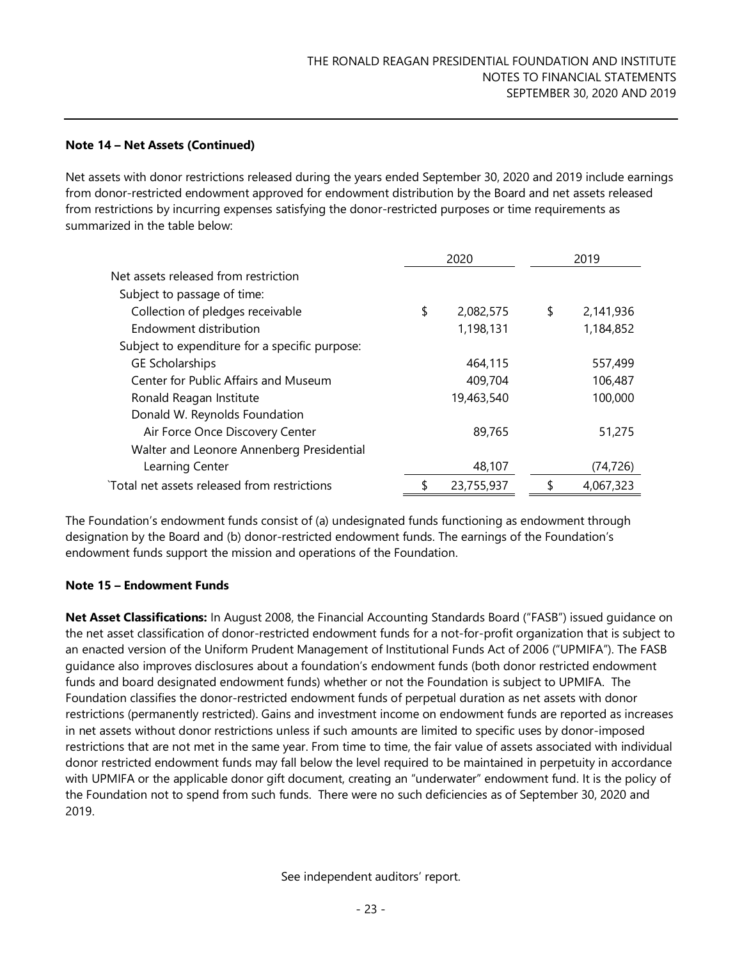#### **Note 14 – Net Assets (Continued)**

Net assets with donor restrictions released during the years ended September 30, 2020 and 2019 include earnings from donor-restricted endowment approved for endowment distribution by the Board and net assets released from restrictions by incurring expenses satisfying the donor-restricted purposes or time requirements as summarized in the table below:

|                                                | 2020 |            | 2019            |
|------------------------------------------------|------|------------|-----------------|
| Net assets released from restriction           |      |            |                 |
| Subject to passage of time:                    |      |            |                 |
| Collection of pledges receivable               | \$   | 2,082,575  | \$<br>2,141,936 |
| Endowment distribution                         |      | 1,198,131  | 1,184,852       |
| Subject to expenditure for a specific purpose: |      |            |                 |
| <b>GE Scholarships</b>                         |      | 464,115    | 557,499         |
| Center for Public Affairs and Museum           |      | 409,704    | 106,487         |
| Ronald Reagan Institute                        |      | 19,463,540 | 100,000         |
| Donald W. Reynolds Foundation                  |      |            |                 |
| Air Force Once Discovery Center                |      | 89,765     | 51,275          |
| Walter and Leonore Annenberg Presidential      |      |            |                 |
| Learning Center                                |      | 48,107     | (74,726)        |
| `Total net assets released from restrictions   | \$   | 23,755,937 | \$<br>4.067.323 |

The Foundation's endowment funds consist of (a) undesignated funds functioning as endowment through designation by the Board and (b) donor-restricted endowment funds. The earnings of the Foundation's endowment funds support the mission and operations of the Foundation.

#### **Note 15 – Endowment Funds**

**Net Asset Classifications:** In August 2008, the Financial Accounting Standards Board ("FASB") issued guidance on the net asset classification of donor-restricted endowment funds for a not-for-profit organization that is subject to an enacted version of the Uniform Prudent Management of Institutional Funds Act of 2006 ("UPMIFA"). The FASB guidance also improves disclosures about a foundation's endowment funds (both donor restricted endowment funds and board designated endowment funds) whether or not the Foundation is subject to UPMIFA. The Foundation classifies the donor-restricted endowment funds of perpetual duration as net assets with donor restrictions (permanently restricted). Gains and investment income on endowment funds are reported as increases in net assets without donor restrictions unless if such amounts are limited to specific uses by donor-imposed restrictions that are not met in the same year. From time to time, the fair value of assets associated with individual donor restricted endowment funds may fall below the level required to be maintained in perpetuity in accordance with UPMIFA or the applicable donor gift document, creating an "underwater" endowment fund. It is the policy of the Foundation not to spend from such funds. There were no such deficiencies as of September 30, 2020 and 2019.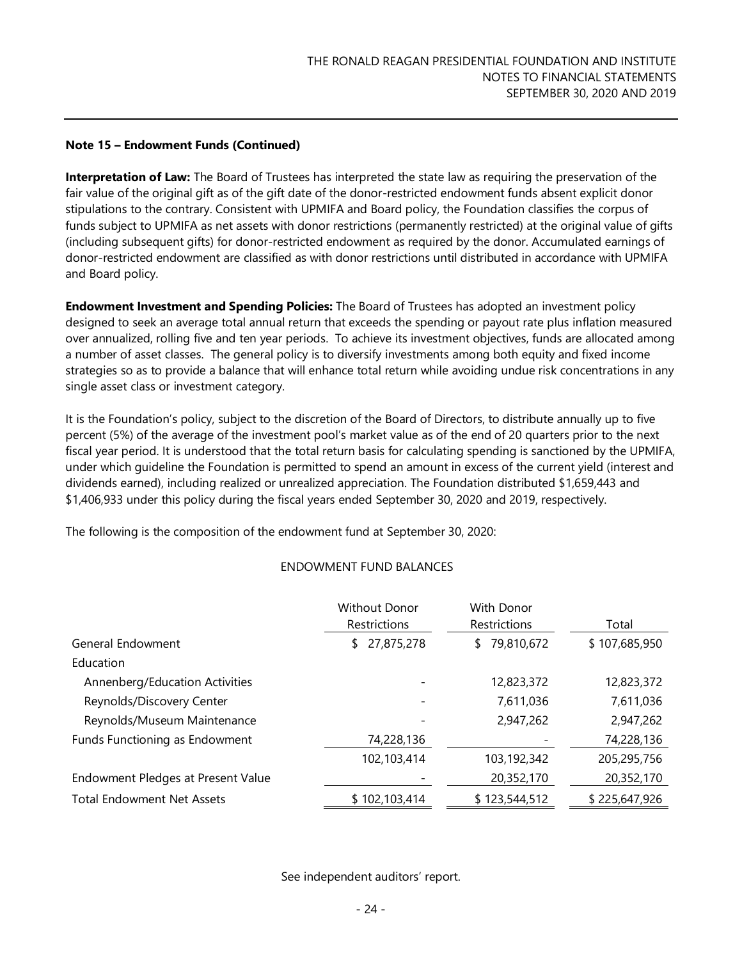**Interpretation of Law:** The Board of Trustees has interpreted the state law as requiring the preservation of the fair value of the original gift as of the gift date of the donor-restricted endowment funds absent explicit donor stipulations to the contrary. Consistent with UPMIFA and Board policy, the Foundation classifies the corpus of funds subject to UPMIFA as net assets with donor restrictions (permanently restricted) at the original value of gifts (including subsequent gifts) for donor-restricted endowment as required by the donor. Accumulated earnings of donor-restricted endowment are classified as with donor restrictions until distributed in accordance with UPMIFA and Board policy.

**Endowment Investment and Spending Policies:** The Board of Trustees has adopted an investment policy designed to seek an average total annual return that exceeds the spending or payout rate plus inflation measured over annualized, rolling five and ten year periods. To achieve its investment objectives, funds are allocated among a number of asset classes. The general policy is to diversify investments among both equity and fixed income strategies so as to provide a balance that will enhance total return while avoiding undue risk concentrations in any single asset class or investment category.

It is the Foundation's policy, subject to the discretion of the Board of Directors, to distribute annually up to five percent (5%) of the average of the investment pool's market value as of the end of 20 quarters prior to the next fiscal year period. It is understood that the total return basis for calculating spending is sanctioned by the UPMIFA, under which guideline the Foundation is permitted to spend an amount in excess of the current yield (interest and dividends earned), including realized or unrealized appreciation. The Foundation distributed \$1,659,443 and \$1,406,933 under this policy during the fiscal years ended September 30, 2020 and 2019, respectively.

The following is the composition of the endowment fund at September 30, 2020:

#### ENDOWMENT FUND BALANCES

|                                    | <b>Without Donor</b><br>Restrictions | With Donor<br>Restrictions | Total         |
|------------------------------------|--------------------------------------|----------------------------|---------------|
| General Endowment                  | 27,875,278<br>S.                     | \$79,810,672               | \$107,685,950 |
| Education                          |                                      |                            |               |
| Annenberg/Education Activities     |                                      | 12,823,372                 | 12,823,372    |
| Reynolds/Discovery Center          |                                      | 7,611,036                  | 7,611,036     |
| Reynolds/Museum Maintenance        |                                      | 2,947,262                  | 2,947,262     |
| Funds Functioning as Endowment     | 74,228,136                           |                            | 74,228,136    |
|                                    | 102,103,414                          | 103,192,342                | 205,295,756   |
| Endowment Pledges at Present Value |                                      | 20,352,170                 | 20,352,170    |
| <b>Total Endowment Net Assets</b>  | \$102,103,414                        | \$123,544,512              | \$225,647,926 |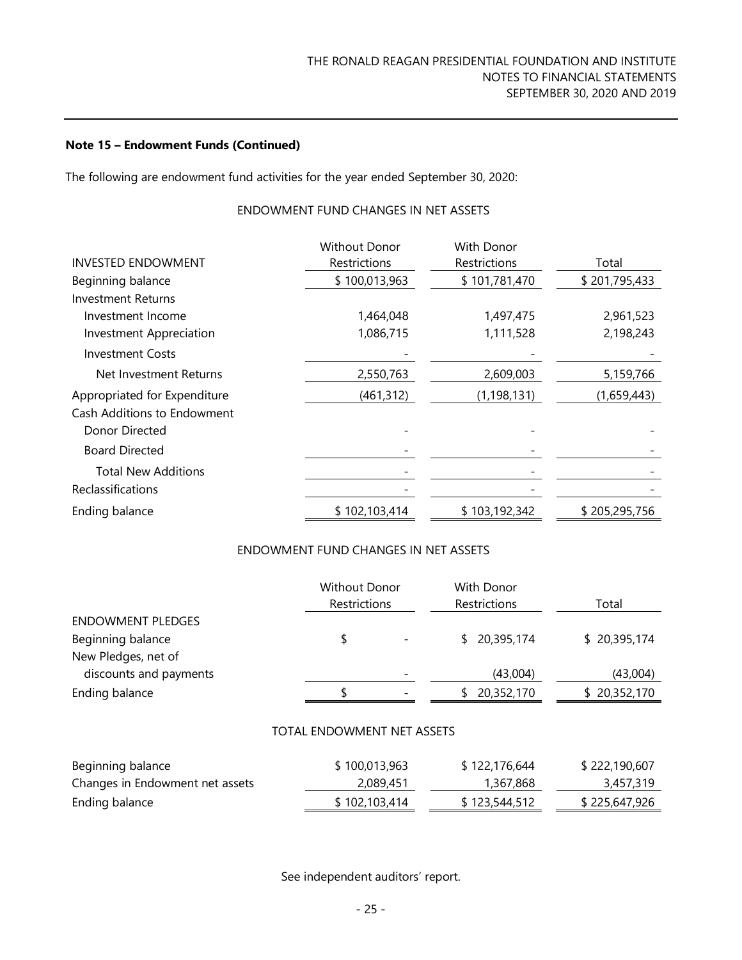The following are endowment fund activities for the year ended September 30, 2020:

### ENDOWMENT FUND CHANGES IN NET ASSETS

|                              | <b>Without Donor</b> | With Donor    |               |
|------------------------------|----------------------|---------------|---------------|
| <b>INVESTED ENDOWMENT</b>    | Restrictions         | Restrictions  | Total         |
| Beginning balance            | \$100,013,963        | \$101,781,470 | \$201,795,433 |
| Investment Returns           |                      |               |               |
| Investment Income            | 1,464,048            | 1,497,475     | 2,961,523     |
| Investment Appreciation      | 1,086,715            | 1,111,528     | 2,198,243     |
| <b>Investment Costs</b>      |                      |               |               |
| Net Investment Returns       | 2,550,763            | 2,609,003     | 5,159,766     |
| Appropriated for Expenditure | (461, 312)           | (1, 198, 131) | (1,659,443)   |
| Cash Additions to Endowment  |                      |               |               |
| Donor Directed               |                      |               |               |
| <b>Board Directed</b>        |                      |               |               |
| <b>Total New Additions</b>   |                      |               |               |
| Reclassifications            |                      |               |               |
| Ending balance               | \$102,103,414        | \$103,192,342 | \$205,295,756 |

## ENDOWMENT FUND CHANGES IN NET ASSETS

|                          | <b>Without Donor</b><br>Restrictions | With Donor<br>Restrictions | Total        |
|--------------------------|--------------------------------------|----------------------------|--------------|
| <b>ENDOWMENT PLEDGES</b> |                                      |                            |              |
| Beginning balance        | \$                                   | \$20,395,174               | \$20,395,174 |
| New Pledges, net of      |                                      |                            |              |
| discounts and payments   |                                      | (43,004)                   | (43,004)     |
| Ending balance           |                                      | \$20,352,170               | \$20,352,170 |
|                          |                                      |                            |              |

#### TOTAL ENDOWMENT NET ASSETS

| Beginning balance               | \$100,013,963 | \$122,176,644 | \$222,190,607 |
|---------------------------------|---------------|---------------|---------------|
| Changes in Endowment net assets | 2,089,451     | 1,367,868     | 3,457,319     |
| Ending balance                  | \$102,103,414 | \$123,544,512 | \$225,647,926 |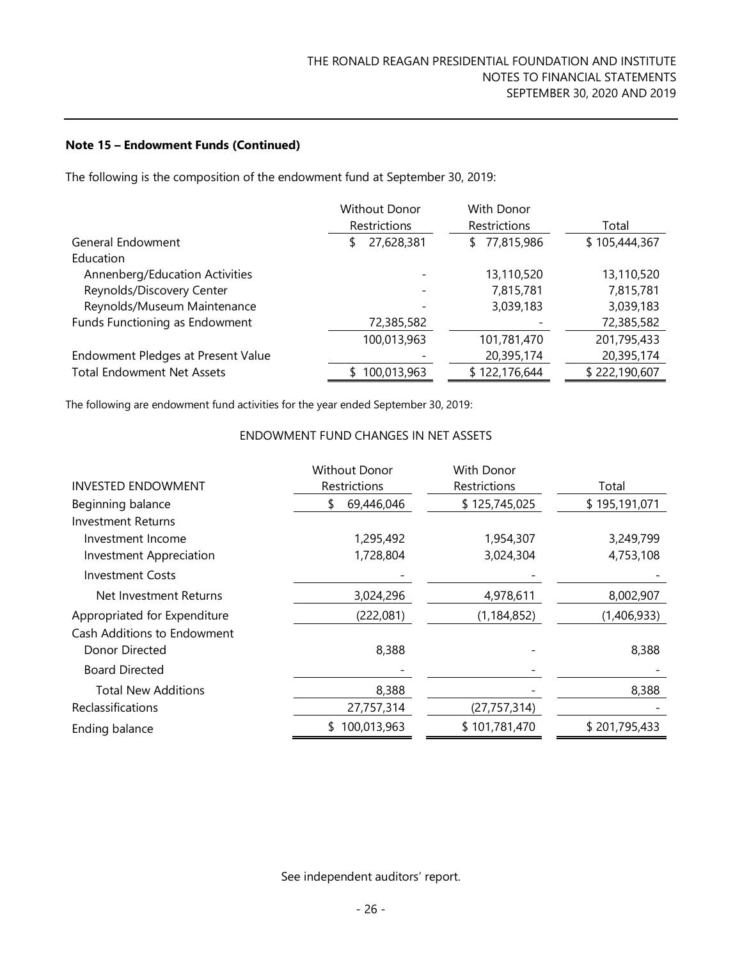The following is the composition of the endowment fund at September 30, 2019:

|                                    | <b>Without Donor</b>     | With Donor       |               |
|------------------------------------|--------------------------|------------------|---------------|
|                                    | Restrictions             | Restrictions     | Total         |
| General Endowment                  | 27,628,381<br>S          | 77,815,986<br>\$ | \$105,444,367 |
| Education                          |                          |                  |               |
| Annenberg/Education Activities     |                          | 13,110,520       | 13,110,520    |
| Reynolds/Discovery Center          | $\overline{\phantom{a}}$ | 7,815,781        | 7,815,781     |
| Reynolds/Museum Maintenance        |                          | 3,039,183        | 3,039,183     |
| Funds Functioning as Endowment     | 72,385,582               |                  | 72,385,582    |
|                                    | 100,013,963              | 101,781,470      | 201,795,433   |
| Endowment Pledges at Present Value |                          | 20,395,174       | 20,395,174    |
| <b>Total Endowment Net Assets</b>  | 100,013,963              | \$122,176,644    | \$222,190,607 |

The following are endowment fund activities for the year ended September 30, 2019:

### ENDOWMENT FUND CHANGES IN NET ASSETS

|                                | <b>Without Donor</b> | With Donor     |               |
|--------------------------------|----------------------|----------------|---------------|
| <b>INVESTED ENDOWMENT</b>      | Restrictions         | Restrictions   | Total         |
| Beginning balance              | 69,446,046<br>\$     | \$125,745,025  | \$195,191,071 |
| <b>Investment Returns</b>      |                      |                |               |
| Investment Income              | 1,295,492            | 1,954,307      | 3,249,799     |
| <b>Investment Appreciation</b> | 1,728,804            | 3,024,304      | 4,753,108     |
| <b>Investment Costs</b>        |                      |                |               |
| Net Investment Returns         | 3,024,296            | 4,978,611      | 8,002,907     |
| Appropriated for Expenditure   | (222,081)            | (1, 184, 852)  | (1,406,933)   |
| Cash Additions to Endowment    |                      |                |               |
| Donor Directed                 | 8,388                |                | 8,388         |
| <b>Board Directed</b>          |                      |                |               |
| <b>Total New Additions</b>     | 8,388                |                | 8,388         |
| Reclassifications              | 27,757,314           | (27, 757, 314) |               |
| Ending balance                 | 100,013,963<br>S.    | \$101,781,470  | \$201,795,433 |